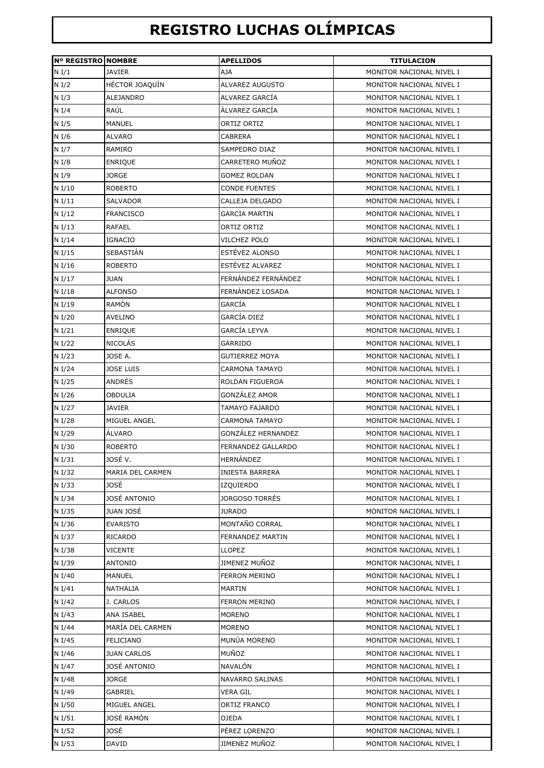## **REGISTRO LUCHAS OLÍMPICAS**

| <b>Nº REGISTRO NOMBRE</b> |                    | <b>APELLIDOS</b>        | <b>TITULACION</b>        |
|---------------------------|--------------------|-------------------------|--------------------------|
| N I/1                     | <b>JAVIER</b>      | <b>AJA</b>              | MONITOR NACIONAL NIVEL I |
| N <sub>I</sub> /2         | HÉCTOR JOAQUÍN     | ALVAREZ AUGUSTO         | MONITOR NACIONAL NIVEL I |
| N I/3                     | ALEJANDRO          | ALVAREZ GARCÍA          | MONITOR NACIONAL NIVEL I |
| N I/4                     | RAÚL               | ÁLVAREZ GARCÍA          | MONITOR NACIONAL NIVEL I |
| N <sub>I</sub> /5         | <b>MANUEL</b>      | ORTIZ ORTIZ             | MONITOR NACIONAL NIVEL I |
| N I/6                     | <b>ALVARO</b>      | CABRERA                 | MONITOR NACIONAL NIVEL I |
| N <sub>I</sub> /7         | RAMIRO             | <b>SAMPEDRO DIAZ</b>    | MONITOR NACIONAL NIVEL I |
| N <sub>I</sub> /8         | <b>ENRIQUE</b>     | CARRETERO MUÑOZ         | MONITOR NACIONAL NIVEL I |
| N I/9                     | <b>JORGE</b>       | GOMEZ ROLDAN            | MONITOR NACIONAL NIVEL I |
| N I/10                    | <b>ROBERTO</b>     | <b>CONDE FUENTES</b>    | MONITOR NACIONAL NIVEL I |
| N I/11                    | <b>SALVADOR</b>    | CALLEJA DELGADO         | MONITOR NACIONAL NIVEL I |
| N I/12                    |                    |                         |                          |
|                           | <b>FRANCISCO</b>   | <b>GARCIA MARTIN</b>    | MONITOR NACIONAL NIVEL I |
| N I/13                    | <b>RAFAEL</b>      | ORTIZ ORTIZ             | MONITOR NACIONAL NIVEL I |
| N I/14                    | <b>IGNACIO</b>     | VILCHEZ POLO            | MONITOR NACIONAL NIVEL I |
| N I/15                    | <b>SEBASTIÁN</b>   | ESTÉVEZ ALONSO          | MONITOR NACIONAL NIVEL I |
| N I/16                    | <b>ROBERTO</b>     | ESTÉVEZ ALVAREZ         | MONITOR NACIONAL NIVEL I |
| N I/17                    | <b>JUAN</b>        | FERNÁNDEZ FERNÁNDEZ     | MONITOR NACIONAL NIVEL I |
| N I/18                    | <b>ALFONSO</b>     | FERNÁNDEZ LOSADA        | MONITOR NACIONAL NIVEL I |
| N I/19                    | <b>RAMÓN</b>       | GARCÍA                  | MONITOR NACIONAL NIVEL I |
| N I/20                    | <b>AVELINO</b>     | GARCÍA DIEZ             | MONITOR NACIONAL NIVEL I |
| N I/21                    | <b>ENRIQUE</b>     | GARCÍA LEYVA            | MONITOR NACIONAL NIVEL I |
| N I/22                    | <b>NICOLÁS</b>     | GARRIDO                 | MONITOR NACIONAL NIVEL I |
| N I/23                    | JOSE A.            | <b>GUTIERREZ MOYA</b>   | MONITOR NACIONAL NIVEL I |
| N I/24                    | <b>JOSE LUIS</b>   | CARMONA TAMAYO          | MONITOR NACIONAL NIVEL I |
| N I/25                    | ANDRÉS             | ROLDAN FIGUEROA         | MONITOR NACIONAL NIVEL I |
| N I/26                    | <b>OBDULIA</b>     | GONZÁLEZ AMOR           | MONITOR NACIONAL NIVEL I |
| N I/27                    | <b>JAVIER</b>      | TAMAYO FAJARDO          | MONITOR NACIONAL NIVEL I |
| N I/28                    | MIGUEL ANGEL       | <b>CARMONA TAMAYO</b>   | MONITOR NACIONAL NIVEL I |
| N I/29                    | ÁLVARO             | GONZÁLEZ HERNANDEZ      | MONITOR NACIONAL NIVEL I |
| N I/30                    | <b>ROBERTO</b>     | FERNANDEZ GALLARDO      | MONITOR NACIONAL NIVEL I |
| N I/31                    | JOSÉ V.            | HERNÁNDEZ               | MONITOR NACIONAL NIVEL I |
| N I/32                    | MARIA DEL CARMEN   | <b>INIESTA BARRERA</b>  | MONITOR NACIONAL NIVEL I |
| N I/33                    | JOSÉ               | IZQUIERDO               | MONITOR NACIONAL NIVEL I |
| N I/34                    | JOSÉ ANTONIO       | JORGOSO TORRÉS          | MONITOR NACIONAL NIVEL I |
| N I/35                    | JUAN JOSÉ          | <b>JURADO</b>           | MONITOR NACIONAL NIVEL I |
| N I/36                    | <b>EVARISTO</b>    | MONTAÑO CORRAL          | MONITOR NACIONAL NIVEL I |
| N I/37                    | RICARDO            | <b>FERNANDEZ MARTIN</b> | MONITOR NACIONAL NIVEL I |
| N I/38                    | <b>VICENTE</b>     | LLOPEZ                  | MONITOR NACIONAL NIVEL I |
| N I/39                    | <b>ANTONIO</b>     | JIMENEZ MUÑOZ           | MONITOR NACIONAL NIVEL I |
| N I/40                    | <b>MANUEL</b>      | <b>FERRON MERINO</b>    | MONITOR NACIONAL NIVEL I |
| N I/41                    | NATHALIA           | MARTIN                  | MONITOR NACIONAL NIVEL I |
| N I/42                    | J. CARLOS          | <b>FERRON MERINO</b>    | MONITOR NACIONAL NIVEL I |
| N I/43                    | ANA ISABEL         | <b>MORENO</b>           | MONITOR NACIONAL NIVEL I |
| N I/44                    | MARÍA DEL CARMEN   | <b>MORENO</b>           | MONITOR NACIONAL NIVEL I |
| N I/45                    | <b>FELICIANO</b>   | MUNÚA MORENO            | MONITOR NACIONAL NIVEL I |
| N I/46                    | <b>JUAN CARLOS</b> | MUÑOZ                   | MONITOR NACIONAL NIVEL I |
| N I/47                    | JOSÉ ANTONIO       | NAVALÓN                 |                          |
|                           |                    |                         | MONITOR NACIONAL NIVEL I |
| N I/48                    | <b>JORGE</b>       | NAVARRO SALINAS         | MONITOR NACIONAL NIVEL I |
| N I/49                    | GABRIEL            | VERA GIL                | MONITOR NACIONAL NIVEL I |
| N I/50                    | MIGUEL ANGEL       | ORTIZ FRANCO            | MONITOR NACIONAL NIVEL I |
| N I/51                    | JOSÉ RAMÓN         | OJEDA                   | MONITOR NACIONAL NIVEL I |
| N I/52                    | JOSÉ               | PÉREZ LORENZO           | MONITOR NACIONAL NIVEL I |
| N I/53                    | <b>DAVID</b>       | JIMENEZ MUÑOZ           | MONITOR NACIONAL NIVEL I |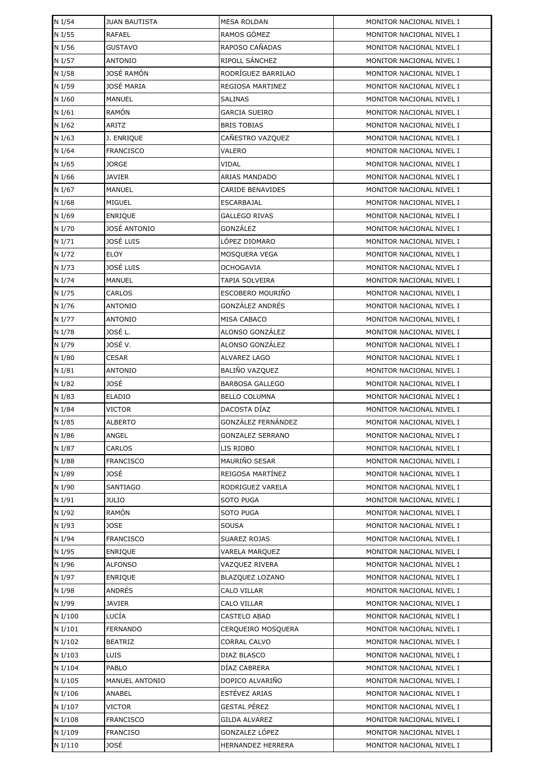| N I/54             | <b>JUAN BAUTISTA</b>    | <b>MESA ROLDAN</b>                   | MONITOR NACIONAL NIVEL I |
|--------------------|-------------------------|--------------------------------------|--------------------------|
| N I/55             | RAFAEL                  | RAMOS GÓMEZ                          | MONITOR NACIONAL NIVEL I |
| N I/56             | <b>GUSTAVO</b>          | RAPOSO CAÑADAS                       | MONITOR NACIONAL NIVEL I |
| N I/57             | <b>ANTONIO</b>          | RIPOLL SÁNCHEZ                       | MONITOR NACIONAL NIVEL I |
| N I/58             | JOSÉ RAMÓN              | RODRÍGUEZ BARRILAO                   | MONITOR NACIONAL NIVEL I |
| N I/59             | JOSÉ MARIA              | REGIOSA MARTINEZ                     | MONITOR NACIONAL NIVEL I |
| N I/60             | MANUEL                  | <b>SALINAS</b>                       | MONITOR NACIONAL NIVEL I |
| N I/61             | RAMÓN                   | GARCIA SUEIRO                        | MONITOR NACIONAL NIVEL I |
| N I/62             | ARITZ                   | <b>BRIS TOBIAS</b>                   | MONITOR NACIONAL NIVEL I |
| N I/63             | J. ENRIQUE              | CAÑESTRO VAZQUEZ                     | MONITOR NACIONAL NIVEL I |
| N I/64             | <b>FRANCISCO</b>        | VALERO                               | MONITOR NACIONAL NIVEL I |
| N I/65             | <b>JORGE</b>            | VIDAL                                | MONITOR NACIONAL NIVEL I |
| N I/66             | JAVIER                  | ARIAS MANDADO                        | MONITOR NACIONAL NIVEL I |
| N I/67             | <b>MANUEL</b>           | <b>CARIDE BENAVIDES</b>              | MONITOR NACIONAL NIVEL I |
| N I/68             | <b>MIGUEL</b>           | ESCARBAJAL                           | MONITOR NACIONAL NIVEL I |
| N I/69             | <b>ENRIQUE</b>          | <b>GALLEGO RIVAS</b>                 | MONITOR NACIONAL NIVEL I |
| N I/70             | JOSÉ ANTONIO            | GONZÁLEZ                             | MONITOR NACIONAL NIVEL I |
| N I/71             | JOSÉ LUIS               | LÓPEZ DIOMARO                        | MONITOR NACIONAL NIVEL I |
| N I/72             | <b>ELOY</b>             | MOSQUERA VEGA                        | MONITOR NACIONAL NIVEL I |
| N I/73             | JOSÉ LUIS               | <b>OCHOGAVIA</b>                     | MONITOR NACIONAL NIVEL I |
| N I/74             | MANUEL                  | TAPIA SOLVEIRA                       | MONITOR NACIONAL NIVEL I |
| N I/75             | CARLOS                  | <b>ESCOBERO MOURIÑO</b>              | MONITOR NACIONAL NIVEL I |
| N I/76             | <b>ANTONIO</b>          | GONZÁLEZ ANDRÉS                      | MONITOR NACIONAL NIVEL I |
| N I/77             | <b>ANTONIO</b>          | MISA CABACO                          | MONITOR NACIONAL NIVEL I |
| N I/78             | JOSÉ L.                 | ALONSO GONZÁLEZ                      | MONITOR NACIONAL NIVEL I |
| N I/79             | JOSÉ V.                 | ALONSO GONZÁLEZ                      | MONITOR NACIONAL NIVEL I |
| N I/80             | <b>CESAR</b>            | ALVAREZ LAGO                         | MONITOR NACIONAL NIVEL I |
| N I/81             | <b>ANTONIO</b>          | BALIÑO VAZQUEZ                       | MONITOR NACIONAL NIVEL I |
| N I/82             | JOSÉ                    | <b>BARBOSA GALLEGO</b>               | MONITOR NACIONAL NIVEL I |
| N I/83             | <b>ELADIO</b>           | <b>BELLO COLUMNA</b>                 | MONITOR NACIONAL NIVEL I |
| N I/84             | VICTOR                  | DACOSTA DÍAZ                         | MONITOR NACIONAL NIVEL I |
| N I/85             | <b>ALBERTO</b>          | GONZÁLEZ FERNÁNDEZ                   | MONITOR NACIONAL NIVEL I |
| N I/86             | ANGEL                   | GONZALEZ SERRANO                     | MONITOR NACIONAL NIVEL I |
| N I/87             | CARLOS                  | LIS RIOBO                            | MONITOR NACIONAL NIVEL I |
| N I/88             | <b>FRANCISCO</b>        | MAURIÑO SESAR                        | MONITOR NACIONAL NIVEL I |
| N I/89             | JOSÉ                    | REIGOSA MARTÍNEZ                     | MONITOR NACIONAL NIVEL I |
| N I/90             | <b>SANTIAGO</b>         | RODRIGUEZ VARELA                     | MONITOR NACIONAL NIVEL I |
| N I/91             | <b>JULIO</b>            | SOTO PUGA                            | MONITOR NACIONAL NIVEL I |
| N I/92             | <b>RAMÓN</b>            | SOTO PUGA                            | MONITOR NACIONAL NIVEL I |
| N I/93             | <b>JOSE</b>             | SOUSA                                | MONITOR NACIONAL NIVEL I |
| N I/94             | <b>FRANCISCO</b>        | SUAREZ ROJAS                         | MONITOR NACIONAL NIVEL I |
| N I/95             | <b>ENRIQUE</b>          | VARELA MARQUEZ                       | MONITOR NACIONAL NIVEL I |
| N I/96             | <b>ALFONSO</b>          | VAZQUEZ RIVERA                       | MONITOR NACIONAL NIVEL I |
| N I/97             | <b>ENRIQUE</b>          | BLAZQUEZ LOZANO                      | MONITOR NACIONAL NIVEL I |
| N I/98             | ANDRÉS                  | CALO VILLAR                          | MONITOR NACIONAL NIVEL I |
| N I/99             | <b>JAVIER</b>           | CALO VILLAR                          | MONITOR NACIONAL NIVEL I |
| N I/100            | LUCÍA                   | CASTELO ABAD                         | MONITOR NACIONAL NIVEL I |
| N I/101            | <b>FERNANDO</b>         | CERQUEIRO MOSQUERA                   | MONITOR NACIONAL NIVEL I |
| N I/102            | <b>BEATRIZ</b>          | CORRAL CALVO                         | MONITOR NACIONAL NIVEL I |
| N I/103            | <b>LUIS</b>             | DIAZ BLASCO                          | MONITOR NACIONAL NIVEL I |
| N I/104            | PABLO                   | DÍAZ CABRERA                         | MONITOR NACIONAL NIVEL I |
| N I/105            | MANUEL ANTONIO          | DOPICO ALVARIÑO                      | MONITOR NACIONAL NIVEL I |
| N I/106            | ANABEL                  | ESTÉVEZ ARIAS<br><b>GESTAL PÉREZ</b> | MONITOR NACIONAL NIVEL I |
| N I/107            | VICTOR                  |                                      | MONITOR NACIONAL NIVEL I |
| N I/108<br>N I/109 | <b>FRANCISCO</b>        | GILDA ALVAREZ<br>GONZALEZ LÓPEZ      | MONITOR NACIONAL NIVEL I |
| N I/110            | <b>FRANCISO</b><br>JOSÉ | <b>HERNANDEZ HERRERA</b>             | MONITOR NACIONAL NIVEL I |
|                    |                         |                                      | MONITOR NACIONAL NIVEL I |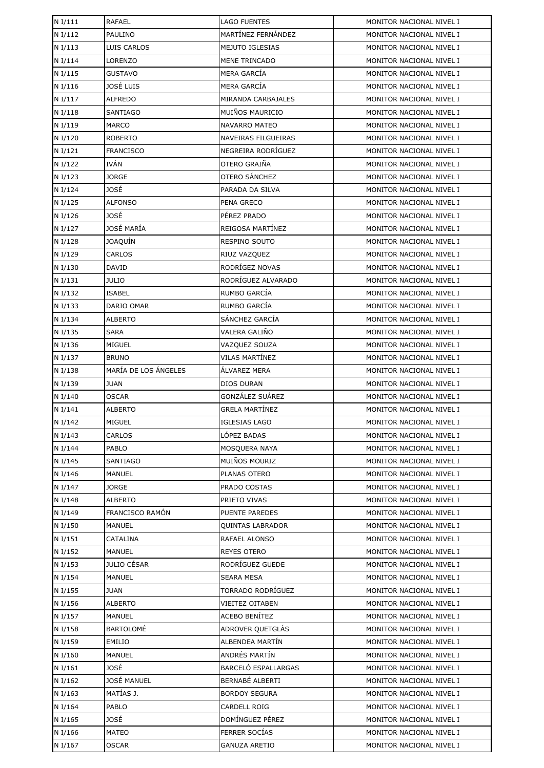| N I/111            | <b>RAFAEL</b>                  | <b>LAGO FUENTES</b>              | MONITOR NACIONAL NIVEL I                             |
|--------------------|--------------------------------|----------------------------------|------------------------------------------------------|
| N I/112            | <b>PAULINO</b>                 | MARTÍNEZ FERNÁNDEZ               | MONITOR NACIONAL NIVEL I                             |
| N I/113            | LUIS CARLOS                    | MEJUTO IGLESIAS                  | MONITOR NACIONAL NIVEL I                             |
| N I/114            | LORENZO                        | MENE TRINCADO                    | MONITOR NACIONAL NIVEL I                             |
| N I/115            | <b>GUSTAVO</b>                 | <b>MERA GARCÍA</b>               | MONITOR NACIONAL NIVEL I                             |
| N I/116            | JOSÉ LUIS                      | MERA GARCÍA                      | MONITOR NACIONAL NIVEL I                             |
| N I/117            | <b>ALFREDO</b>                 | MIRANDA CARBAJALES               | MONITOR NACIONAL NIVEL I                             |
| N I/118            | <b>SANTIAGO</b>                | MUIÑOS MAURICIO                  | MONITOR NACIONAL NIVEL I                             |
| N I/119            | MARCO                          | <b>NAVARRO MATEO</b>             | MONITOR NACIONAL NIVEL I                             |
| N I/120            | <b>ROBERTO</b>                 | NAVEIRAS FILGUEIRAS              | MONITOR NACIONAL NIVEL I                             |
| N I/121            | <b>FRANCISCO</b>               | NEGREIRA RODRÍGUEZ               | MONITOR NACIONAL NIVEL I                             |
| N I/122            | <b>IVÁN</b>                    | OTERO GRAIÑA                     | MONITOR NACIONAL NIVEL I                             |
| N I/123            | JORGE                          | OTERO SÁNCHEZ                    | MONITOR NACIONAL NIVEL I                             |
| N I/124            | JOSÉ                           | PARADA DA SILVA                  | MONITOR NACIONAL NIVEL I                             |
| N I/125            | <b>ALFONSO</b>                 | PENA GRECO                       | MONITOR NACIONAL NIVEL I                             |
| N I/126            | JOSÉ                           | PÉREZ PRADO                      | MONITOR NACIONAL NIVEL I                             |
| N I/127            | JOSÉ MARÍA                     | REIGOSA MARTÍNEZ                 | MONITOR NACIONAL NIVEL I                             |
| N I/128            | JOAQUÍN                        | <b>RESPINO SOUTO</b>             | MONITOR NACIONAL NIVEL I                             |
| N I/129            | CARLOS                         | RIUZ VAZQUEZ                     | MONITOR NACIONAL NIVEL I                             |
| N I/130            | DAVID                          | RODRÍGEZ NOVAS                   | MONITOR NACIONAL NIVEL I                             |
| N I/131            | <b>JULIO</b>                   | RODRÍGUEZ ALVARADO               | MONITOR NACIONAL NIVEL I                             |
| N I/132            | <b>ISABEL</b>                  | RUMBO GARCÍA                     | MONITOR NACIONAL NIVEL I                             |
| N I/133            | DARIO OMAR                     | RUMBO GARCÍA                     | MONITOR NACIONAL NIVEL I                             |
| N I/134            | <b>ALBERTO</b>                 | SÁNCHEZ GARCÍA                   | MONITOR NACIONAL NIVEL I                             |
| N I/135            | <b>SARA</b>                    | VALERA GALIÑO                    | MONITOR NACIONAL NIVEL I                             |
| N I/136            | MIGUEL                         | VAZQUEZ SOUZA                    | MONITOR NACIONAL NIVEL I                             |
| N I/137            | <b>BRUNO</b>                   | VILAS MARTÍNEZ                   | MONITOR NACIONAL NIVEL I                             |
| N I/138            | MARÍA DE LOS ÁNGELES           | ÁLVAREZ MERA                     | MONITOR NACIONAL NIVEL I                             |
| N I/139            | JUAN                           | DIOS DURAN                       | MONITOR NACIONAL NIVEL I                             |
| N I/140            | <b>OSCAR</b>                   | GONZÁLEZ SUÁREZ                  | MONITOR NACIONAL NIVEL I                             |
| N I/141            | <b>ALBERTO</b>                 | <b>GRELA MARTÍNEZ</b>            | MONITOR NACIONAL NIVEL I                             |
| N I/142            | <b>MIGUEL</b>                  | <b>IGLESIAS LAGO</b>             | MONITOR NACIONAL NIVEL I                             |
| N I/143            | <b>CARLOS</b>                  | LÓPEZ BADAS                      | MONITOR NACIONAL NIVEL I                             |
| N I/144            | PABLO                          | MOSOUERA NAYA                    | MONITOR NACIONAL NIVEL I                             |
| N I/145            | SANTIAGO                       | MUIÑOS MOURIZ                    | MONITOR NACIONAL NIVEL I                             |
| N I/146            | MANUEL                         | PLANAS OTERO                     | MONITOR NACIONAL NIVEL I                             |
| N I/147            | JORGE                          | PRADO COSTAS                     | MONITOR NACIONAL NIVEL I                             |
| N I/148            | <b>ALBERTO</b>                 | PRIETO VIVAS                     | MONITOR NACIONAL NIVEL I                             |
| N I/149            | FRANCISCO RAMÓN                | <b>PUENTE PAREDES</b>            | MONITOR NACIONAL NIVEL I                             |
| N I/150            | MANUEL                         | QUINTAS LABRADOR                 | MONITOR NACIONAL NIVEL I                             |
| N I/151            | CATALINA                       | RAFAEL ALONSO                    | MONITOR NACIONAL NIVEL I                             |
| N I/152            | <b>MANUEL</b>                  | <b>REYES OTERO</b>               | MONITOR NACIONAL NIVEL I                             |
| N I/153            | <b>JULIO CÉSAR</b>             | RODRÍGUEZ GUEDE                  | MONITOR NACIONAL NIVEL I                             |
| N I/154            | MANUEL                         | <b>SEARA MESA</b>                | MONITOR NACIONAL NIVEL I                             |
| N I/155            | <b>JUAN</b>                    | TORRADO RODRÍGUEZ                | MONITOR NACIONAL NIVEL I                             |
| N I/156            | ALBERTO                        | <b>VIEITEZ OITABEN</b>           | MONITOR NACIONAL NIVEL I                             |
| N I/157            | <b>MANUEL</b>                  | ACEBO BENÍTEZ                    | MONITOR NACIONAL NIVEL I                             |
| N I/158            | BARTOLOMÉ                      | ADROVER QUETGLÁS                 | MONITOR NACIONAL NIVEL I                             |
| N I/159<br>N I/160 | <b>EMILIO</b><br><b>MANUEL</b> | ALBENDEA MARTÍN<br>ANDRÉS MARTÍN | MONITOR NACIONAL NIVEL I<br>MONITOR NACIONAL NIVEL I |
| N I/161            | JOSÉ                           | BARCELÓ ESPALLARGAS              | MONITOR NACIONAL NIVEL I                             |
| N I/162            | JOSÉ MANUEL                    | BERNABÉ ALBERTI                  | MONITOR NACIONAL NIVEL I                             |
| N I/163            | MATÍAS J.                      | <b>BORDOY SEGURA</b>             | MONITOR NACIONAL NIVEL I                             |
| N I/164            | PABLO                          | CARDELL ROIG                     | MONITOR NACIONAL NIVEL I                             |
| N I/165            | JOSÉ                           | DOMÍNGUEZ PÉREZ                  | MONITOR NACIONAL NIVEL I                             |
| N I/166            | MATEO                          | <b>FERRER SOCIAS</b>             | MONITOR NACIONAL NIVEL I                             |
| N I/167            | OSCAR                          | <b>GANUZA ARETIO</b>             | MONITOR NACIONAL NIVEL I                             |
|                    |                                |                                  |                                                      |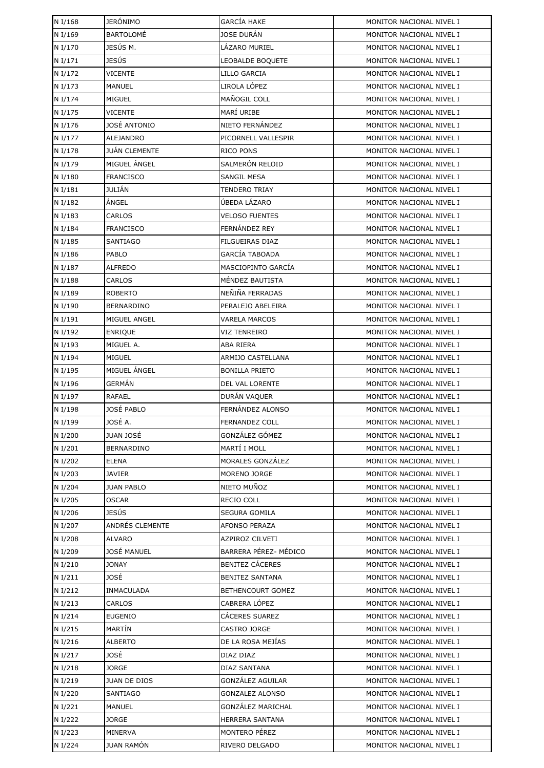| N I/168 | <b>JERÓNIMO</b>   | <b>GARCÍA HAKE</b>      | MONITOR NACIONAL NIVEL I |
|---------|-------------------|-------------------------|--------------------------|
| N I/169 | BARTOLOMÉ         | <b>JOSE DURÁN</b>       | MONITOR NACIONAL NIVEL I |
| N I/170 | JESÚS M.          | LÁZARO MURIEL           | MONITOR NACIONAL NIVEL I |
| N I/171 | JESÚS             | <b>LEOBALDE BOQUETE</b> | MONITOR NACIONAL NIVEL I |
| N I/172 | VICENTE           | LILLO GARCIA            | MONITOR NACIONAL NIVEL I |
| N I/173 | <b>MANUEL</b>     | LIROLA LÓPEZ            | MONITOR NACIONAL NIVEL I |
| N I/174 | <b>MIGUEL</b>     | MAÑOGIL COLL            | MONITOR NACIONAL NIVEL I |
| N I/175 | <b>VICENTE</b>    | MARÍ URIBE              | MONITOR NACIONAL NIVEL I |
| N I/176 | JOSÉ ANTONIO      | NIETO FERNÁNDEZ         | MONITOR NACIONAL NIVEL I |
| N I/177 | ALEJANDRO         | PICORNELL VALLESPIR     | MONITOR NACIONAL NIVEL I |
| N I/178 | JUÁN CLEMENTE     | RICO PONS               | MONITOR NACIONAL NIVEL I |
| N I/179 | MIGUEL ÁNGEL      | SALMERÓN RELOID         | MONITOR NACIONAL NIVEL I |
| N I/180 | <b>FRANCISCO</b>  | SANGIL MESA             | MONITOR NACIONAL NIVEL I |
| N I/181 | JULIÁN            | <b>TENDERO TRIAY</b>    | MONITOR NACIONAL NIVEL I |
| N I/182 | ÁNGEL             | ÚBEDA LÁZARO            | MONITOR NACIONAL NIVEL I |
| N I/183 | CARLOS            | <b>VELOSO FUENTES</b>   | MONITOR NACIONAL NIVEL I |
| N I/184 | <b>FRANCISCO</b>  | FERNÁNDEZ REY           | MONITOR NACIONAL NIVEL I |
| N I/185 | <b>SANTIAGO</b>   | <b>FILGUEIRAS DIAZ</b>  | MONITOR NACIONAL NIVEL I |
| N I/186 | PABLO             | <b>GARCÍA TABOADA</b>   | MONITOR NACIONAL NIVEL I |
| N I/187 | <b>ALFREDO</b>    | MASCIOPINTO GARCÍA      | MONITOR NACIONAL NIVEL I |
| N I/188 | CARLOS            | MÉNDEZ BAUTISTA         | MONITOR NACIONAL NIVEL I |
| N I/189 | <b>ROBERTO</b>    | NEÑIÑA FERRADAS         | MONITOR NACIONAL NIVEL I |
| N I/190 | <b>BERNARDINO</b> | PERALEJO ABELEIRA       | MONITOR NACIONAL NIVEL I |
| N I/191 | MIGUEL ANGEL      | <b>VARELA MARCOS</b>    | MONITOR NACIONAL NIVEL I |
| N I/192 | <b>ENRIQUE</b>    | VIZ TENREIRO            | MONITOR NACIONAL NIVEL I |
| N I/193 | MIGUEL A.         | ABA RIERA               | MONITOR NACIONAL NIVEL I |
| N I/194 | <b>MIGUEL</b>     | ARMIJO CASTELLANA       | MONITOR NACIONAL NIVEL I |
| N I/195 | MIGUEL ÁNGEL      | <b>BONILLA PRIETO</b>   | MONITOR NACIONAL NIVEL I |
| N I/196 | GERMÁN            | DEL VAL LORENTE         | MONITOR NACIONAL NIVEL I |
| N I/197 | <b>RAFAEL</b>     | DURÁN VAQUER            | MONITOR NACIONAL NIVEL I |
| N I/198 | JOSÉ PABLO        | FERNÁNDEZ ALONSO        | MONITOR NACIONAL NIVEL I |
| N I/199 | JOSÉ A.           | <b>FERNANDEZ COLL</b>   | MONITOR NACIONAL NIVEL I |
| N I/200 | JUAN JOSÉ         | GONZÁLEZ GÓMEZ          | MONITOR NACIONAL NIVEL I |
| N I/201 | <b>BERNARDINO</b> | MARTÍ I MOLL            | MONITOR NACIONAL NIVEL I |
| N I/202 | ELENA             | MORALES GONZÁLEZ        | MONITOR NACIONAL NIVEL I |
| N I/203 | <b>JAVIER</b>     | MORENO JORGE            | MONITOR NACIONAL NIVEL I |
| N I/204 | <b>JUAN PABLO</b> | NIETO MUÑOZ             | MONITOR NACIONAL NIVEL I |
| N I/205 | <b>OSCAR</b>      | RECIO COLL              | MONITOR NACIONAL NIVEL I |
| N I/206 | <b>JESÚS</b>      | SEGURA GOMILA           | MONITOR NACIONAL NIVEL I |
| N I/207 | ANDRÉS CLEMENTE   | AFONSO PERAZA           | MONITOR NACIONAL NIVEL I |
| N I/208 | <b>ALVARO</b>     | <b>AZPIROZ CILVETI</b>  | MONITOR NACIONAL NIVEL I |
| N I/209 | JOSÉ MANUEL       | BARRERA PÉREZ- MÉDICO   | MONITOR NACIONAL NIVEL I |
| N I/210 | JONAY             | <b>BENITEZ CÁCERES</b>  | MONITOR NACIONAL NIVEL I |
| N I/211 | JOSÉ              | <b>BENITEZ SANTANA</b>  | MONITOR NACIONAL NIVEL I |
| N I/212 | INMACULADA        | BETHENCOURT GOMEZ       | MONITOR NACIONAL NIVEL I |
| N I/213 | CARLOS            | CABRERA LÓPEZ           | MONITOR NACIONAL NIVEL I |
| N I/214 | <b>EUGENIO</b>    | CÁCERES SUAREZ          | MONITOR NACIONAL NIVEL I |
| N I/215 | MARTÍN            | CASTRO JORGE            | MONITOR NACIONAL NIVEL I |
| N I/216 | ALBERTO           | DE LA ROSA MEJÍAS       | MONITOR NACIONAL NIVEL I |
| N I/217 | JOSÉ              | DIAZ DIAZ               | MONITOR NACIONAL NIVEL I |
| N I/218 | JORGE             | DIAZ SANTANA            | MONITOR NACIONAL NIVEL I |
| N I/219 | JUAN DE DIOS      | GONZÁLEZ AGUILAR        | MONITOR NACIONAL NIVEL I |
| N I/220 | <b>SANTIAGO</b>   | GONZALEZ ALONSO         | MONITOR NACIONAL NIVEL I |
| N I/221 | MANUEL            | GONZÁLEZ MARICHAL       | MONITOR NACIONAL NIVEL I |
| N I/222 | <b>JORGE</b>      | <b>HERRERA SANTANA</b>  | MONITOR NACIONAL NIVEL I |
| N I/223 | MINERVA           | MONTERO PÉREZ           | MONITOR NACIONAL NIVEL I |
| N I/224 | JUAN RAMÓN        | RIVERO DELGADO          | MONITOR NACIONAL NIVEL I |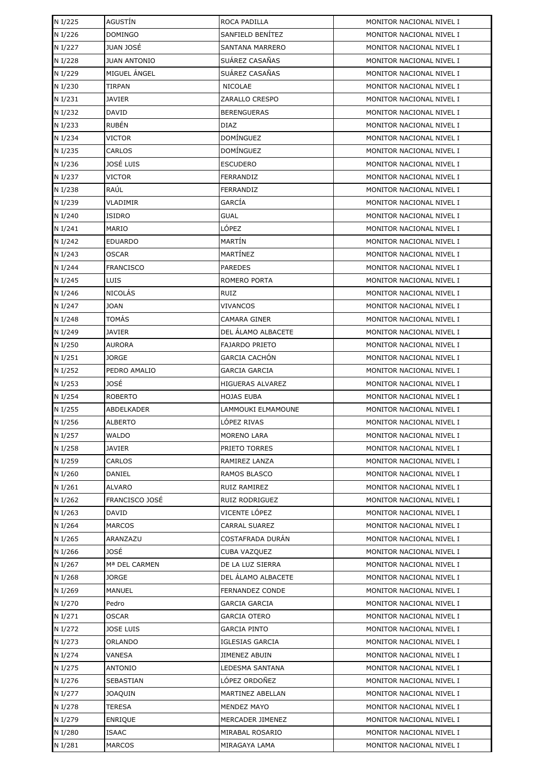| N I/225            | AGUSTÍN             | ROCA PADILLA                            | MONITOR NACIONAL NIVEL I                             |
|--------------------|---------------------|-----------------------------------------|------------------------------------------------------|
| N I/226            | <b>DOMINGO</b>      | SANFIELD BENÍTEZ                        | MONITOR NACIONAL NIVEL I                             |
| N I/227            | <b>JUAN JOSÉ</b>    | <b>SANTANA MARRERO</b>                  | MONITOR NACIONAL NIVEL I                             |
| N I/228            | <b>JUAN ANTONIO</b> | SUÁREZ CASAÑAS                          | MONITOR NACIONAL NIVEL I                             |
| N I/229            | MIGUEL ANGEL        | SUÁREZ CASAÑAS                          | MONITOR NACIONAL NIVEL I                             |
| N I/230            | <b>TIRPAN</b>       | <b>NICOLAE</b>                          | MONITOR NACIONAL NIVEL I                             |
| N I/231            | <b>JAVIER</b>       | ZARALLO CRESPO                          | MONITOR NACIONAL NIVEL I                             |
| N I/232            | <b>DAVID</b>        | <b>BERENGUERAS</b>                      | MONITOR NACIONAL NIVEL I                             |
| N I/233            | RUBÉN               | DIAZ                                    | MONITOR NACIONAL NIVEL I                             |
| N I/234            | <b>VICTOR</b>       | DOMÍNGUEZ                               | MONITOR NACIONAL NIVEL I                             |
| N I/235            | <b>CARLOS</b>       | DOMÍNGUEZ                               | MONITOR NACIONAL NIVEL I                             |
| N I/236            | JOSÉ LUIS           | <b>ESCUDERO</b>                         | MONITOR NACIONAL NIVEL I                             |
| N I/237            | <b>VICTOR</b>       | FERRANDIZ                               | MONITOR NACIONAL NIVEL I                             |
| N I/238            | RAÚL                | FERRANDIZ                               | MONITOR NACIONAL NIVEL I                             |
| N I/239            | VLADIMIR            | GARCÍA                                  | MONITOR NACIONAL NIVEL I                             |
| N I/240            | ISIDRO              | <b>GUAL</b>                             | MONITOR NACIONAL NIVEL I                             |
| N I/241            | MARIO               | LÓPEZ                                   | MONITOR NACIONAL NIVEL I                             |
| N I/242            | <b>EDUARDO</b>      | MARTÍN                                  | MONITOR NACIONAL NIVEL I                             |
| N I/243            | <b>OSCAR</b>        | MARTÍNEZ                                | MONITOR NACIONAL NIVEL I                             |
| N I/244            | <b>FRANCISCO</b>    | <b>PAREDES</b>                          | MONITOR NACIONAL NIVEL I                             |
| N I/245            | LUIS                | ROMERO PORTA                            | MONITOR NACIONAL NIVEL I                             |
| N I/246            | <b>NICOLÁS</b>      | <b>RUIZ</b>                             | MONITOR NACIONAL NIVEL I                             |
| N I/247            | <b>JOAN</b>         | VIVANCOS                                | MONITOR NACIONAL NIVEL I                             |
| N I/248            | TOMÁS               | CAMARA GINER                            | MONITOR NACIONAL NIVEL I                             |
| N I/249            | <b>JAVIER</b>       | DEL ÁLAMO ALBACETE                      | MONITOR NACIONAL NIVEL I                             |
| N I/250            | <b>AURORA</b>       | <b>FAJARDO PRIETO</b>                   | MONITOR NACIONAL NIVEL I                             |
| N I/251            | <b>JORGE</b>        | <b>GARCIA CACHÓN</b>                    | MONITOR NACIONAL NIVEL I                             |
| N I/252            | PEDRO AMALIO        | <b>GARCIA GARCIA</b>                    | MONITOR NACIONAL NIVEL I                             |
| N I/253            | JOSÉ                | <b>HIGUERAS ALVAREZ</b>                 | MONITOR NACIONAL NIVEL I                             |
| N I/254            | <b>ROBERTO</b>      | <b>HOJAS EUBA</b>                       | MONITOR NACIONAL NIVEL I                             |
| N I/255            | ABDELKADER          | LAMMOUKI ELMAMOUNE                      | MONITOR NACIONAL NIVEL I                             |
| N I/256            | <b>ALBERTO</b>      | LÓPEZ RIVAS                             | MONITOR NACIONAL NIVEL I                             |
| N I/257            | <b>WALDO</b>        | <b>MORENO LARA</b>                      | MONITOR NACIONAL NIVEL I                             |
| N I/258            | <b>JAVIER</b>       | PRIETO TORRES                           | MONITOR NACIONAL NIVEL I                             |
| N I/259            | CARLOS              | RAMIREZ LANZA                           | MONITOR NACIONAL NIVEL I                             |
| N I/260            | DANIEL              | RAMOS BLASCO                            | MONITOR NACIONAL NIVEL I                             |
| N I/261            | <b>ALVARO</b>       | RUIZ RAMIREZ                            | MONITOR NACIONAL NIVEL I                             |
| N I/262            | FRANCISCO JOSÉ      | RUIZ RODRIGUEZ                          | MONITOR NACIONAL NIVEL I                             |
| N I/263            | DAVID               | VICENTE LÓPEZ                           | MONITOR NACIONAL NIVEL I                             |
| N I/264            | <b>MARCOS</b>       | CARRAL SUAREZ<br>COSTAFRADA DURÁN       | MONITOR NACIONAL NIVEL I                             |
| N I/265            | ARANZAZU<br>JOSÉ    |                                         | MONITOR NACIONAL NIVEL I<br>MONITOR NACIONAL NIVEL I |
| N I/266<br>N I/267 | Mª DEL CARMEN       | <b>CUBA VAZQUEZ</b><br>DE LA LUZ SIERRA | MONITOR NACIONAL NIVEL I                             |
| N I/268            | <b>JORGE</b>        | DEL ÁLAMO ALBACETE                      | MONITOR NACIONAL NIVEL I                             |
| N I/269            | <b>MANUEL</b>       | <b>FERNANDEZ CONDE</b>                  | MONITOR NACIONAL NIVEL I                             |
| N I/270            | Pedro               | GARCIA GARCIA                           | MONITOR NACIONAL NIVEL I                             |
| N I/271            | <b>OSCAR</b>        | <b>GARCIA OTERO</b>                     | MONITOR NACIONAL NIVEL I                             |
| N I/272            | <b>JOSE LUIS</b>    | GARCIA PINTO                            | MONITOR NACIONAL NIVEL I                             |
| N I/273            | ORLANDO             | <b>IGLESIAS GARCIA</b>                  | MONITOR NACIONAL NIVEL I                             |
| N I/274            | VANESA              | <b>JIMENEZ ABUIN</b>                    | MONITOR NACIONAL NIVEL I                             |
| N I/275            | ANTONIO             | LEDESMA SANTANA                         | MONITOR NACIONAL NIVEL I                             |
| N I/276            | SEBASTIAN           | LÓPEZ ORDOÑEZ                           | MONITOR NACIONAL NIVEL I                             |
| N I/277            | <b>JOAQUIN</b>      | MARTINEZ ABELLAN                        | MONITOR NACIONAL NIVEL I                             |
| N I/278            | <b>TERESA</b>       | <b>MENDEZ MAYO</b>                      | MONITOR NACIONAL NIVEL I                             |
| N I/279            | <b>ENRIQUE</b>      | MERCADER JIMENEZ                        | MONITOR NACIONAL NIVEL I                             |
| N I/280            | <b>ISAAC</b>        | MIRABAL ROSARIO                         | MONITOR NACIONAL NIVEL I                             |
| N I/281            | <b>MARCOS</b>       | MIRAGAYA LAMA                           | MONITOR NACIONAL NIVEL I                             |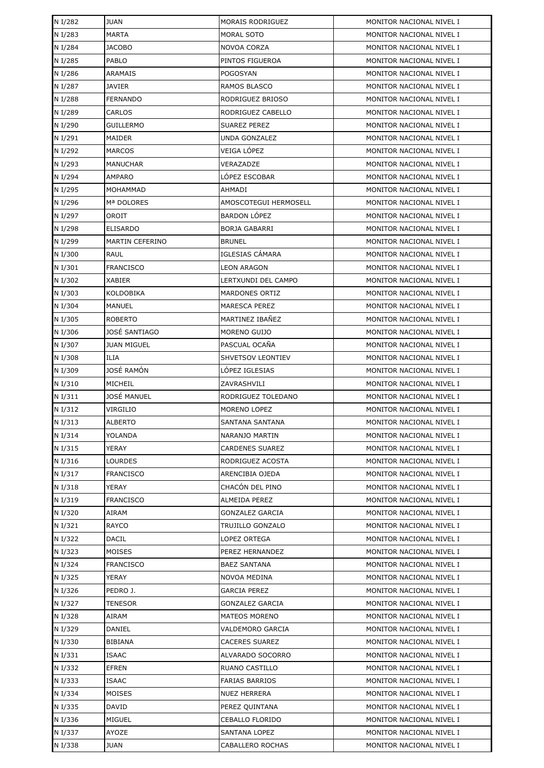| N I/282 | <b>JUAN</b>        | MORAIS RODRIGUEZ       | MONITOR NACIONAL NIVEL I |
|---------|--------------------|------------------------|--------------------------|
| N I/283 | <b>MARTA</b>       | MORAL SOTO             | MONITOR NACIONAL NIVEL I |
| N I/284 | <b>JACOBO</b>      | NOVOA CORZA            | MONITOR NACIONAL NIVEL I |
| N I/285 | PABLO              | PINTOS FIGUEROA        | MONITOR NACIONAL NIVEL I |
| N I/286 | ARAMAIS            | POGOSYAN               | MONITOR NACIONAL NIVEL I |
| N I/287 | JAVIER             | RAMOS BLASCO           | MONITOR NACIONAL NIVEL I |
| N I/288 | FERNANDO           | RODRIGUEZ BRIOSO       | MONITOR NACIONAL NIVEL I |
| N I/289 | CARLOS             | RODRIGUEZ CABELLO      | MONITOR NACIONAL NIVEL I |
| N I/290 | <b>GUILLERMO</b>   | <b>SUAREZ PEREZ</b>    | MONITOR NACIONAL NIVEL I |
| N I/291 | MAIDER             | <b>UNDA GONZALEZ</b>   | MONITOR NACIONAL NIVEL I |
| N I/292 | <b>MARCOS</b>      | VEIGA LÓPEZ            | MONITOR NACIONAL NIVEL I |
| N I/293 | <b>MANUCHAR</b>    | VERAZADZE              | MONITOR NACIONAL NIVEL I |
| N I/294 | AMPARO             | LÓPEZ ESCOBAR          | MONITOR NACIONAL NIVEL I |
| N I/295 | MOHAMMAD           | AHMADI                 | MONITOR NACIONAL NIVEL I |
| N I/296 | Mª DOLORES         | AMOSCOTEGUI HERMOSELL  | MONITOR NACIONAL NIVEL I |
| N I/297 | OROIT              | <b>BARDON LÓPEZ</b>    | MONITOR NACIONAL NIVEL I |
| N I/298 | <b>ELISARDO</b>    | <b>BORJA GABARRI</b>   | MONITOR NACIONAL NIVEL I |
| N I/299 | MARTIN CEFERINO    | <b>BRUNEL</b>          | MONITOR NACIONAL NIVEL I |
| N I/300 | RAUL               | IGLESIAS CÁMARA        | MONITOR NACIONAL NIVEL I |
| N I/301 | <b>FRANCISCO</b>   | <b>LEON ARAGON</b>     | MONITOR NACIONAL NIVEL I |
| N I/302 | <b>XABIER</b>      | LERTXUNDI DEL CAMPO    | MONITOR NACIONAL NIVEL I |
| N I/303 | KOLDOBIKA          | MARDONES ORTIZ         | MONITOR NACIONAL NIVEL I |
| N I/304 | MANUEL             | <b>MARESCA PEREZ</b>   | MONITOR NACIONAL NIVEL I |
| N I/305 | ROBERTO            | MARTINEZ IBAÑEZ        | MONITOR NACIONAL NIVEL I |
| N I/306 | JOSÉ SANTIAGO      | MORENO GUIJO           | MONITOR NACIONAL NIVEL I |
| N I/307 | <b>JUAN MIGUEL</b> | PASCUAL OCAÑA          | MONITOR NACIONAL NIVEL I |
| N I/308 | ILIA               | SHVETSOV LEONTIEV      | MONITOR NACIONAL NIVEL I |
| N I/309 | JOSÉ RAMÓN         | LÓPEZ IGLESIAS         | MONITOR NACIONAL NIVEL I |
| N I/310 | MICHEIL            | ZAVRASHVILI            | MONITOR NACIONAL NIVEL I |
| N I/311 | JOSÉ MANUEL        | RODRIGUEZ TOLEDANO     | MONITOR NACIONAL NIVEL I |
| N I/312 | VIRGILIO           | MORENO LOPEZ           | MONITOR NACIONAL NIVEL I |
| N I/313 | <b>ALBERTO</b>     | SANTANA SANTANA        | MONITOR NACIONAL NIVEL I |
| N I/314 | YOLANDA            | NARANJO MARTIN         | MONITOR NACIONAL NIVEL I |
| N I/315 | YERAY              | <b>CARDENES SUAREZ</b> | MONITOR NACIONAL NIVEL I |
| N I/316 | LOURDES            | RODRIGUEZ ACOSTA       | MONITOR NACIONAL NIVEL I |
| N I/317 | <b>FRANCISCO</b>   | ARENCIBIA OJEDA        | MONITOR NACIONAL NIVEL I |
| N I/318 | YERAY              | CHACÓN DEL PINO        | MONITOR NACIONAL NIVEL I |
| N I/319 | <b>FRANCISCO</b>   | <b>ALMEIDA PEREZ</b>   | MONITOR NACIONAL NIVEL I |
| N I/320 | AIRAM              | <b>GONZALEZ GARCIA</b> | MONITOR NACIONAL NIVEL I |
| N I/321 | RAYCO              | TRUJILLO GONZALO       | MONITOR NACIONAL NIVEL I |
| N I/322 | DACIL              | LOPEZ ORTEGA           | MONITOR NACIONAL NIVEL I |
| N I/323 | MOISES             | PEREZ HERNANDEZ        | MONITOR NACIONAL NIVEL I |
| N I/324 | <b>FRANCISCO</b>   | <b>BAEZ SANTANA</b>    | MONITOR NACIONAL NIVEL I |
| N I/325 | YERAY              | NOVOA MEDINA           | MONITOR NACIONAL NIVEL I |
| N I/326 | PEDRO J.           | GARCIA PEREZ           | MONITOR NACIONAL NIVEL I |
| N I/327 | TENESOR            | <b>GONZALEZ GARCIA</b> | MONITOR NACIONAL NIVEL I |
| N I/328 | AIRAM              | MATEOS MORENO          | MONITOR NACIONAL NIVEL I |
| N I/329 | DANIEL             | VALDEMORO GARCIA       | MONITOR NACIONAL NIVEL I |
| N I/330 | BIBIANA            | CACERES SUAREZ         | MONITOR NACIONAL NIVEL I |
| N I/331 | <b>ISAAC</b>       | ALVARADO SOCORRO       | MONITOR NACIONAL NIVEL I |
| N I/332 | EFREN              | RUANO CASTILLO         | MONITOR NACIONAL NIVEL I |
| N I/333 | <b>ISAAC</b>       | <b>FARIAS BARRIOS</b>  | MONITOR NACIONAL NIVEL I |
| N I/334 | MOISES             | <b>NUEZ HERRERA</b>    | MONITOR NACIONAL NIVEL I |
| N I/335 | DAVID              | PEREZ QUINTANA         | MONITOR NACIONAL NIVEL I |
| N I/336 | MIGUEL             | CEBALLO FLORIDO        | MONITOR NACIONAL NIVEL I |
| N I/337 | AYOZE              | <b>SANTANA LOPEZ</b>   | MONITOR NACIONAL NIVEL I |
| N I/338 | <b>JUAN</b>        | CABALLERO ROCHAS       | MONITOR NACIONAL NIVEL I |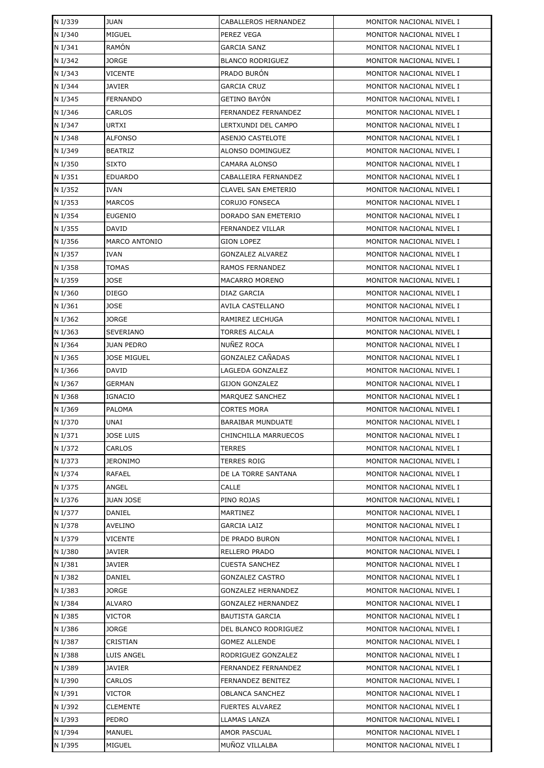| N I/339 | <b>JUAN</b>          | CABALLEROS HERNANDEZ      | MONITOR NACIONAL NIVEL I |
|---------|----------------------|---------------------------|--------------------------|
| N I/340 | MIGUEL               | PEREZ VEGA                | MONITOR NACIONAL NIVEL I |
| N I/341 | RAMÓN                | <b>GARCIA SANZ</b>        | MONITOR NACIONAL NIVEL I |
| N I/342 | JORGE                | <b>BLANCO RODRIGUEZ</b>   | MONITOR NACIONAL NIVEL I |
| N I/343 | VICENTE              | PRADO BURÓN               | MONITOR NACIONAL NIVEL I |
| N I/344 | JAVIER               | <b>GARCIA CRUZ</b>        | MONITOR NACIONAL NIVEL I |
| N I/345 | FERNANDO             | GETINO BAYÓN              | MONITOR NACIONAL NIVEL I |
| N I/346 | CARLOS               | FERNANDEZ FERNANDEZ       | MONITOR NACIONAL NIVEL I |
| N I/347 | URTXI                | LERTXUNDI DEL CAMPO       | MONITOR NACIONAL NIVEL I |
| N I/348 | <b>ALFONSO</b>       | <b>ASENJO CASTELOTE</b>   | MONITOR NACIONAL NIVEL I |
| N I/349 | <b>BEATRIZ</b>       | ALONSO DOMINGUEZ          | MONITOR NACIONAL NIVEL I |
| N I/350 | <b>SIXTO</b>         | CAMARA ALONSO             | MONITOR NACIONAL NIVEL I |
| N I/351 | <b>EDUARDO</b>       | CABALLEIRA FERNANDEZ      | MONITOR NACIONAL NIVEL I |
| N I/352 | <b>IVAN</b>          | CLAVEL SAN EMETERIO       | MONITOR NACIONAL NIVEL I |
| N I/353 | <b>MARCOS</b>        | <b>CORUJO FONSECA</b>     | MONITOR NACIONAL NIVEL I |
| N I/354 | <b>EUGENIO</b>       | DORADO SAN EMETERIO       | MONITOR NACIONAL NIVEL I |
| N I/355 | DAVID                | FERNANDEZ VILLAR          | MONITOR NACIONAL NIVEL I |
| N I/356 | <b>MARCO ANTONIO</b> | <b>GION LOPEZ</b>         | MONITOR NACIONAL NIVEL I |
| N I/357 | <b>IVAN</b>          | <b>GONZALEZ ALVAREZ</b>   | MONITOR NACIONAL NIVEL I |
| N I/358 | TOMAS                | RAMOS FERNANDEZ           | MONITOR NACIONAL NIVEL I |
| N I/359 | <b>JOSE</b>          | <b>MACARRO MORENO</b>     | MONITOR NACIONAL NIVEL I |
| N I/360 | <b>DIEGO</b>         | DIAZ GARCIA               | MONITOR NACIONAL NIVEL I |
| N I/361 | JOSE                 | AVILA CASTELLANO          | MONITOR NACIONAL NIVEL I |
| N I/362 | JORGE                | RAMIREZ LECHUGA           | MONITOR NACIONAL NIVEL I |
| N I/363 | SEVERIANO            | <b>TORRES ALCALA</b>      | MONITOR NACIONAL NIVEL I |
| N I/364 | <b>JUAN PEDRO</b>    | NUÑEZ ROCA                | MONITOR NACIONAL NIVEL I |
| N I/365 | <b>JOSE MIGUEL</b>   | GONZALEZ CAÑADAS          | MONITOR NACIONAL NIVEL I |
| N I/366 | DAVID                | LAGLEDA GONZALEZ          | MONITOR NACIONAL NIVEL I |
| N I/367 | GERMAN               | GIJON GONZALEZ            | MONITOR NACIONAL NIVEL I |
| N I/368 | <b>IGNACIO</b>       | MARQUEZ SANCHEZ           | MONITOR NACIONAL NIVEL I |
| N I/369 | <b>PALOMA</b>        | <b>CORTES MORA</b>        | MONITOR NACIONAL NIVEL I |
| N I/370 | UNAI                 | <b>BARAIBAR MUNDUATE</b>  | MONITOR NACIONAL NIVEL I |
| N I/371 | <b>JOSE LUIS</b>     | CHINCHILLA MARRUECOS      | MONITOR NACIONAL NIVEL I |
| N I/372 | CARLOS               | TERRES                    | MONITOR NACIONAL NIVEL I |
| N I/373 | <b>JERONIMO</b>      | TERRES ROIG               | MONITOR NACIONAL NIVEL I |
| N I/374 | <b>RAFAEL</b>        | DE LA TORRE SANTANA       | MONITOR NACIONAL NIVEL I |
| N I/375 | ANGEL                | CALLE                     | MONITOR NACIONAL NIVEL I |
| N I/376 | JUAN JOSE            | PINO ROJAS                | MONITOR NACIONAL NIVEL I |
| N I/377 | DANIEL               | MARTINEZ                  | MONITOR NACIONAL NIVEL I |
| N I/378 | AVELINO              | <b>GARCIA LAIZ</b>        | MONITOR NACIONAL NIVEL I |
| N I/379 | VICENTE              | DE PRADO BURON            | MONITOR NACIONAL NIVEL I |
| N I/380 | JAVIER               | RELLERO PRADO             | MONITOR NACIONAL NIVEL I |
| N I/381 | JAVIER               | CUESTA SANCHEZ            | MONITOR NACIONAL NIVEL I |
| N I/382 | DANIEL               | <b>GONZALEZ CASTRO</b>    | MONITOR NACIONAL NIVEL I |
| N I/383 | JORGE                | <b>GONZALEZ HERNANDEZ</b> | MONITOR NACIONAL NIVEL I |
| N I/384 | ALVARO               | <b>GONZALEZ HERNANDEZ</b> | MONITOR NACIONAL NIVEL I |
| N I/385 | VICTOR               | <b>BAUTISTA GARCIA</b>    | MONITOR NACIONAL NIVEL I |
| N I/386 | JORGE                | DEL BLANCO RODRIGUEZ      | MONITOR NACIONAL NIVEL I |
| N I/387 | CRISTIAN             | <b>GOMEZ ALLENDE</b>      | MONITOR NACIONAL NIVEL I |
| N I/388 | LUIS ANGEL           | RODRIGUEZ GONZALEZ        | MONITOR NACIONAL NIVEL I |
| N I/389 | JAVIER               | FERNANDEZ FERNANDEZ       | MONITOR NACIONAL NIVEL I |
| N I/390 | CARLOS               | FERNANDEZ BENITEZ         | MONITOR NACIONAL NIVEL I |
| N I/391 | <b>VICTOR</b>        | <b>OBLANCA SANCHEZ</b>    | MONITOR NACIONAL NIVEL I |
| N I/392 | CLEMENTE             | <b>FUERTES ALVAREZ</b>    | MONITOR NACIONAL NIVEL I |
| N I/393 | PEDRO                | LLAMAS LANZA              | MONITOR NACIONAL NIVEL I |
| N I/394 | MANUEL               | AMOR PASCUAL              | MONITOR NACIONAL NIVEL I |
| N I/395 | MIGUEL               | MUÑOZ VILLALBA            | MONITOR NACIONAL NIVEL I |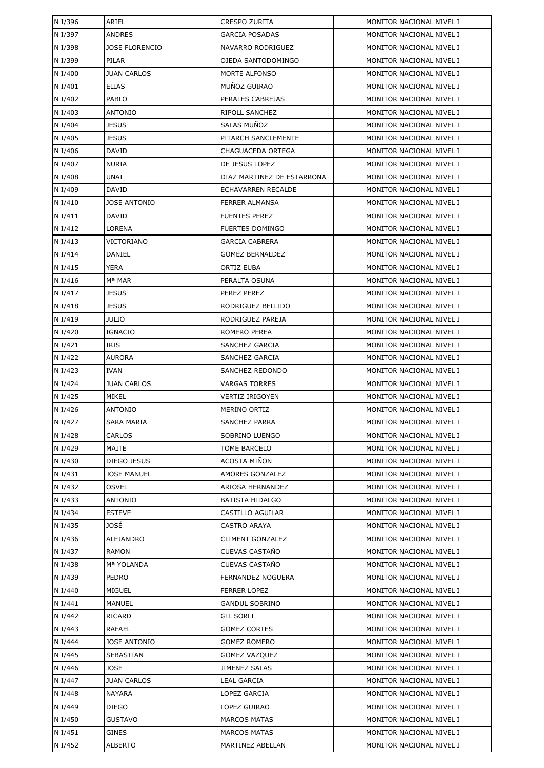| N I/396 | ARIEL                 | <b>CRESPO ZURITA</b>                       | MONITOR NACIONAL NIVEL I |
|---------|-----------------------|--------------------------------------------|--------------------------|
| N I/397 | <b>ANDRES</b>         | GARCIA POSADAS                             | MONITOR NACIONAL NIVEL I |
| N I/398 | <b>JOSE FLORENCIO</b> | NAVARRO RODRIGUEZ                          | MONITOR NACIONAL NIVEL I |
| N I/399 | PILAR                 | OJEDA SANTODOMINGO                         | MONITOR NACIONAL NIVEL I |
| N I/400 | <b>JUAN CARLOS</b>    | MORTE ALFONSO                              | MONITOR NACIONAL NIVEL I |
| N I/401 | <b>ELIAS</b>          | MUÑOZ GUIRAO                               | MONITOR NACIONAL NIVEL I |
| N I/402 | <b>PABLO</b>          | PERALES CABREJAS                           | MONITOR NACIONAL NIVEL I |
| N I/403 | <b>ANTONIO</b>        | RIPOLL SANCHEZ                             | MONITOR NACIONAL NIVEL I |
| N I/404 | <b>JESUS</b>          | SALAS MUÑOZ                                | MONITOR NACIONAL NIVEL I |
| N I/405 | <b>JESUS</b>          | PITARCH SANCLEMENTE                        | MONITOR NACIONAL NIVEL I |
| N I/406 | <b>DAVID</b>          | CHAGUACEDA ORTEGA                          | MONITOR NACIONAL NIVEL I |
| N I/407 | <b>NURIA</b>          | DE JESUS LOPEZ                             | MONITOR NACIONAL NIVEL I |
| N I/408 | UNAI                  | DIAZ MARTINEZ DE ESTARRONA                 | MONITOR NACIONAL NIVEL I |
| N I/409 | <b>DAVID</b>          | ECHAVARREN RECALDE                         | MONITOR NACIONAL NIVEL I |
| N I/410 | <b>JOSE ANTONIO</b>   | FERRER ALMANSA                             | MONITOR NACIONAL NIVEL I |
| N I/411 | DAVID                 | <b>FUENTES PEREZ</b>                       | MONITOR NACIONAL NIVEL I |
| N I/412 | LORENA                | <b>FUERTES DOMINGO</b>                     | MONITOR NACIONAL NIVEL I |
| N I/413 | VICTORIANO            | <b>GARCIA CABRERA</b>                      | MONITOR NACIONAL NIVEL I |
| N I/414 | DANIEL                | <b>GOMEZ BERNALDEZ</b>                     | MONITOR NACIONAL NIVEL I |
| N I/415 | <b>YERA</b>           | ORTIZ EUBA                                 | MONITOR NACIONAL NIVEL I |
| N I/416 | Mª MAR                | PERALTA OSUNA                              | MONITOR NACIONAL NIVEL I |
| N I/417 | <b>JESUS</b>          | PEREZ PEREZ                                | MONITOR NACIONAL NIVEL I |
| N I/418 | <b>JESUS</b>          | RODRIGUEZ BELLIDO                          | MONITOR NACIONAL NIVEL I |
| N I/419 | JULIO                 | RODRIGUEZ PAREJA                           | MONITOR NACIONAL NIVEL I |
| N I/420 | <b>IGNACIO</b>        | ROMERO PEREA                               | MONITOR NACIONAL NIVEL I |
| N I/421 | IRIS                  | SANCHEZ GARCIA                             | MONITOR NACIONAL NIVEL I |
| N I/422 | AURORA                | SANCHEZ GARCIA                             | MONITOR NACIONAL NIVEL I |
| N I/423 | <b>IVAN</b>           | SANCHEZ REDONDO                            | MONITOR NACIONAL NIVEL I |
| N I/424 | <b>JUAN CARLOS</b>    | VARGAS TORRES                              | MONITOR NACIONAL NIVEL I |
| N I/425 | MIKEL                 | <b>VERTIZ IRIGOYEN</b>                     | MONITOR NACIONAL NIVEL I |
| N I/426 | <b>ANTONIO</b>        | <b>MERINO ORTIZ</b>                        | MONITOR NACIONAL NIVEL I |
| N I/427 | <b>SARA MARIA</b>     | <b>SANCHEZ PARRA</b>                       | MONITOR NACIONAL NIVEL I |
| N I/428 | <b>CARLOS</b>         | SOBRINO LUENGO                             | MONITOR NACIONAL NIVEL I |
| N I/429 | MAITE                 | <b>TOME BARCELO</b>                        | MONITOR NACIONAL NIVEL I |
| N I/430 | DIEGO JESUS           | ACOSTA MIÑON                               | MONITOR NACIONAL NIVEL I |
| N I/431 | <b>JOSE MANUEL</b>    | AMORES GONZALEZ                            | MONITOR NACIONAL NIVEL I |
| N I/432 | <b>OSVEL</b>          | ARIOSA HERNANDEZ                           | MONITOR NACIONAL NIVEL I |
| N I/433 | <b>ANTONIO</b>        | <b>BATISTA HIDALGO</b>                     | MONITOR NACIONAL NIVEL I |
| N I/434 | <b>ESTEVE</b>         | CASTILLO AGUILAR                           | MONITOR NACIONAL NIVEL I |
| N I/435 | JOSÉ                  | CASTRO ARAYA                               | MONITOR NACIONAL NIVEL I |
| N I/436 | ALEJANDRO             | <b>CLIMENT GONZALEZ</b>                    | MONITOR NACIONAL NIVEL I |
| N I/437 | RAMON                 | CUEVAS CASTAÑO                             | MONITOR NACIONAL NIVEL I |
| N I/438 | Mª YOLANDA            | CUEVAS CASTAÑO                             | MONITOR NACIONAL NIVEL I |
| N I/439 | PEDRO                 | FERNANDEZ NOGUERA                          | MONITOR NACIONAL NIVEL I |
| N I/440 | MIGUEL                | <b>FERRER LOPEZ</b>                        | MONITOR NACIONAL NIVEL I |
| N I/441 | MANUEL                | GANDUL SOBRINO                             | MONITOR NACIONAL NIVEL I |
| N I/442 | RICARD                | <b>GIL SORLI</b>                           | MONITOR NACIONAL NIVEL I |
| N I/443 | RAFAEL                | <b>GOMEZ CORTES</b>                        | MONITOR NACIONAL NIVEL I |
| N I/444 | JOSE ANTONIO          | GOMEZ ROMERO                               | MONITOR NACIONAL NIVEL I |
| N I/445 | SEBASTIAN             | GOMEZ VAZQUEZ                              | MONITOR NACIONAL NIVEL I |
| N I/446 | JOSE                  | <b>JIMENEZ SALAS</b>                       | MONITOR NACIONAL NIVEL I |
| N I/447 | <b>JUAN CARLOS</b>    | LEAL GARCIA                                | MONITOR NACIONAL NIVEL I |
| N I/448 | NAYARA                | LOPEZ GARCIA                               | MONITOR NACIONAL NIVEL I |
| N I/449 | DIEGO                 | LOPEZ GUIRAO                               | MONITOR NACIONAL NIVEL I |
| N I/450 | GUSTAVO               | <b>MARCOS MATAS</b><br><b>MARCOS MATAS</b> | MONITOR NACIONAL NIVEL I |
| N I/451 | GINES                 |                                            | MONITOR NACIONAL NIVEL I |
| N I/452 | ALBERTO               | MARTINEZ ABELLAN                           | MONITOR NACIONAL NIVEL I |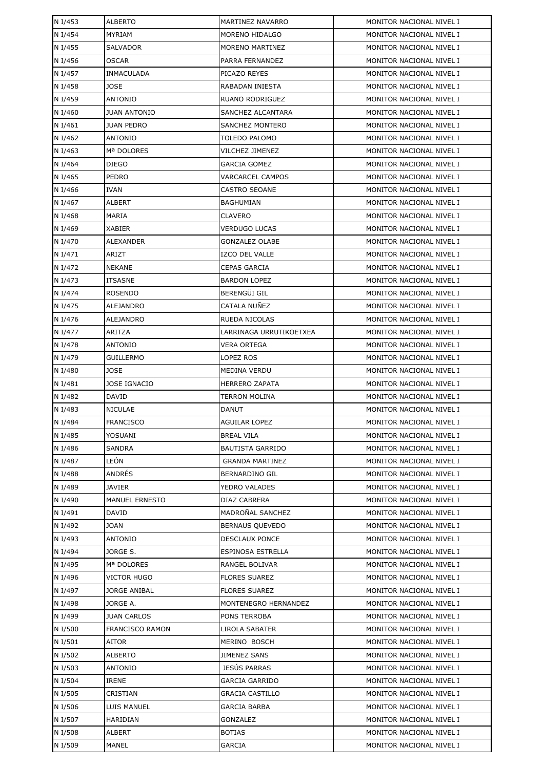| N I/453            | <b>ALBERTO</b>           | MARTINEZ NAVARRO                    | MONITOR NACIONAL NIVEL I                             |
|--------------------|--------------------------|-------------------------------------|------------------------------------------------------|
| N I/454            | <b>MYRIAM</b>            | MORENO HIDALGO                      | MONITOR NACIONAL NIVEL I                             |
| N I/455            | <b>SALVADOR</b>          | MORENO MARTINEZ                     | MONITOR NACIONAL NIVEL I                             |
| N I/456            | <b>OSCAR</b>             | PARRA FERNANDEZ                     | MONITOR NACIONAL NIVEL I                             |
| N I/457            | <b>INMACULADA</b>        | PICAZO REYES                        | MONITOR NACIONAL NIVEL I                             |
| N I/458            | <b>JOSE</b>              | RABADAN INIESTA                     | MONITOR NACIONAL NIVEL I                             |
| N I/459            | ANTONIO                  | RUANO RODRIGUEZ                     | MONITOR NACIONAL NIVEL I                             |
| N I/460            | <b>JUAN ANTONIO</b>      | SANCHEZ ALCANTARA                   | MONITOR NACIONAL NIVEL I                             |
| N I/461            | <b>JUAN PEDRO</b>        | <b>SANCHEZ MONTERO</b>              | MONITOR NACIONAL NIVEL I                             |
| N I/462            | <b>ANTONIO</b>           | TOLEDO PALOMO                       | MONITOR NACIONAL NIVEL I                             |
| N I/463            | Mª DOLORES               | VILCHEZ JIMENEZ                     | MONITOR NACIONAL NIVEL I                             |
| N I/464            | <b>DIEGO</b>             | <b>GARCIA GOMEZ</b>                 | MONITOR NACIONAL NIVEL I                             |
| N I/465            | PEDRO                    | VARCARCEL CAMPOS                    | MONITOR NACIONAL NIVEL I                             |
| N I/466            | <b>IVAN</b>              | CASTRO SEOANE                       | MONITOR NACIONAL NIVEL I                             |
| N I/467            | ALBERT                   | <b>BAGHUMIAN</b>                    | MONITOR NACIONAL NIVEL I                             |
| N I/468            | MARIA                    | <b>CLAVERO</b>                      | MONITOR NACIONAL NIVEL I                             |
| N I/469            | XABIER                   | <b>VERDUGO LUCAS</b>                | MONITOR NACIONAL NIVEL I                             |
| N I/470            | ALEXANDER                | <b>GONZALEZ OLABE</b>               | MONITOR NACIONAL NIVEL I                             |
| N I/471            | ARIZT                    | IZCO DEL VALLE                      | MONITOR NACIONAL NIVEL I                             |
| N I/472            | <b>NEKANE</b>            | <b>CEPAS GARCIA</b>                 | MONITOR NACIONAL NIVEL I                             |
| N I/473            | <b>ITSASNE</b>           | <b>BARDON LOPEZ</b>                 | MONITOR NACIONAL NIVEL I                             |
| N I/474            | <b>ROSENDO</b>           | <b>BERENGÜI GIL</b>                 | MONITOR NACIONAL NIVEL I                             |
| N I/475            | ALEJANDRO                | CATALA NUÑEZ                        | MONITOR NACIONAL NIVEL I                             |
| N I/476            | ALEJANDRO                | RUEDA NICOLAS                       | MONITOR NACIONAL NIVEL I                             |
| N I/477            | ARITZA                   | LARRINAGA URRUTIKOETXEA             | MONITOR NACIONAL NIVEL I                             |
| N I/478            | <b>ANTONIO</b>           | VERA ORTEGA                         | MONITOR NACIONAL NIVEL I                             |
| N I/479            | GUILLERMO                | LOPEZ ROS                           | MONITOR NACIONAL NIVEL I                             |
| N I/480            | <b>JOSE</b>              | MEDINA VERDU                        | MONITOR NACIONAL NIVEL I                             |
| N I/481            | <b>JOSE IGNACIO</b>      | <b>HERRERO ZAPATA</b>               | MONITOR NACIONAL NIVEL I                             |
| N I/482            | DAVID                    | <b>TERRON MOLINA</b>                | MONITOR NACIONAL NIVEL I                             |
| N I/483            | <b>NICULAE</b>           | <b>DANUT</b>                        | MONITOR NACIONAL NIVEL I                             |
| N I/484            | <b>FRANCISCO</b>         | <b>AGUILAR LOPEZ</b>                | MONITOR NACIONAL NIVEL I                             |
| N I/485            | YOSUANI                  | <b>BREAL VILA</b>                   | MONITOR NACIONAL NIVEL I                             |
| N I/486            | SANDRA                   | <b>BAUTISTA GARRIDO</b>             | MONITOR NACIONAL NIVEL I                             |
| N I/487            | LEÓN                     | <b>GRANDA MARTINEZ</b>              | MONITOR NACIONAL NIVEL I                             |
| N I/488            | ANDRÉS                   | BERNARDINO GIL                      | MONITOR NACIONAL NIVEL I                             |
| N I/489            | JAVIER                   | YEDRO VALADES                       | MONITOR NACIONAL NIVEL I                             |
| N I/490            | <b>MANUEL ERNESTO</b>    | DIAZ CABRERA                        | MONITOR NACIONAL NIVEL I                             |
| N I/491            | DAVID                    | MADROÑAL SANCHEZ                    | MONITOR NACIONAL NIVEL I                             |
| N I/492            | <b>JOAN</b>              | <b>BERNAUS QUEVEDO</b>              | MONITOR NACIONAL NIVEL I                             |
| N I/493            | ANTONIO                  | <b>DESCLAUX PONCE</b>               | MONITOR NACIONAL NIVEL I                             |
| N I/494            | JORGE S.                 | ESPINOSA ESTRELLA                   | MONITOR NACIONAL NIVEL I                             |
| N I/495            | Mª DOLORES               | RANGEL BOLIVAR                      | MONITOR NACIONAL NIVEL I                             |
| N I/496            | VICTOR HUGO              | <b>FLORES SUAREZ</b>                | MONITOR NACIONAL NIVEL I                             |
| N I/497            | JORGE ANIBAL             | <b>FLORES SUAREZ</b>                | MONITOR NACIONAL NIVEL I                             |
| N I/498            | JORGE A.                 | MONTENEGRO HERNANDEZ                | MONITOR NACIONAL NIVEL I                             |
| N I/499            | <b>JUAN CARLOS</b>       | PONS TERROBA                        | MONITOR NACIONAL NIVEL I                             |
| N I/500            | <b>FRANCISCO RAMON</b>   | <b>LIROLA SABATER</b>               | MONITOR NACIONAL NIVEL I                             |
| N I/501            | AITOR                    | MERINO BOSCH                        | MONITOR NACIONAL NIVEL I                             |
| N I/502            | ALBERTO                  | JIMENEZ SANS<br><b>JESÚS PARRAS</b> | MONITOR NACIONAL NIVEL I                             |
| N I/503            | ANTONIO                  |                                     | MONITOR NACIONAL NIVEL I                             |
| N I/504<br>N I/505 | <b>IRENE</b><br>CRISTIAN | GARCIA GARRIDO                      | MONITOR NACIONAL NIVEL I                             |
| N I/506            |                          | GRACIA CASTILLO<br>GARCIA BARBA     | MONITOR NACIONAL NIVEL I<br>MONITOR NACIONAL NIVEL I |
| N I/507            | LUIS MANUEL<br>HARIDIAN  | GONZALEZ                            | MONITOR NACIONAL NIVEL I                             |
| N I/508            | ALBERT                   | <b>BOTIAS</b>                       | MONITOR NACIONAL NIVEL I                             |
| N I/509            | MANEL                    | GARCIA                              | MONITOR NACIONAL NIVEL I                             |
|                    |                          |                                     |                                                      |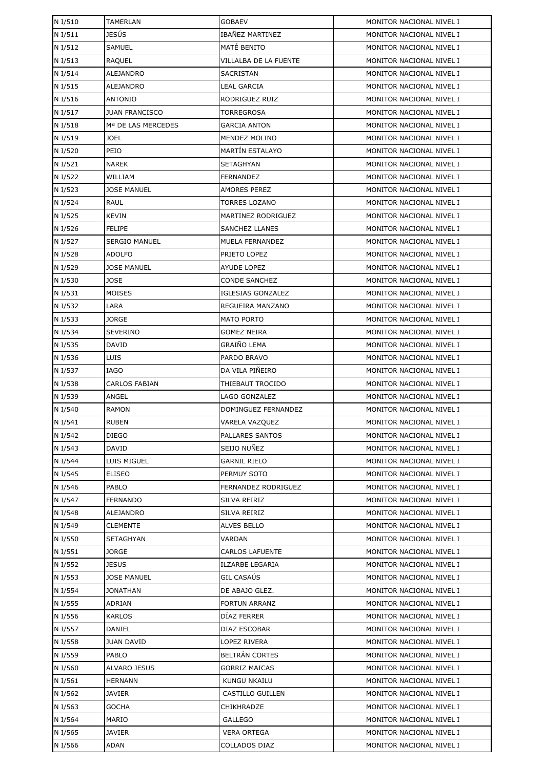| N I/510 | TAMERLAN              | <b>GOBAEV</b>            | MONITOR NACIONAL NIVEL I |
|---------|-----------------------|--------------------------|--------------------------|
| N I/511 | JESÚS                 | IBAÑEZ MARTINEZ          | MONITOR NACIONAL NIVEL I |
| N I/512 | <b>SAMUEL</b>         | MATÉ BENITO              | MONITOR NACIONAL NIVEL I |
| N I/513 | RAQUEL                | VILLALBA DE LA FUENTE    | MONITOR NACIONAL NIVEL I |
| N I/514 | ALEJANDRO             | SACRISTAN                | MONITOR NACIONAL NIVEL I |
| N I/515 | ALEJANDRO             | <b>LEAL GARCIA</b>       | MONITOR NACIONAL NIVEL I |
| N I/516 | ANTONIO               | RODRIGUEZ RUIZ           | MONITOR NACIONAL NIVEL I |
| N I/517 | <b>JUAN FRANCISCO</b> | TORREGROSA               | MONITOR NACIONAL NIVEL I |
| N I/518 | Mª DE LAS MERCEDES    | <b>GARCIA ANTON</b>      | MONITOR NACIONAL NIVEL I |
| N I/519 | JOEL                  | MENDEZ MOLINO            | MONITOR NACIONAL NIVEL I |
| N I/520 | PEIO                  | <b>MARTÍN ESTALAYO</b>   | MONITOR NACIONAL NIVEL I |
| N I/521 | <b>NAREK</b>          | SETAGHYAN                | MONITOR NACIONAL NIVEL I |
| N I/522 | WILLIAM               | <b>FERNANDEZ</b>         | MONITOR NACIONAL NIVEL I |
| N I/523 | <b>JOSE MANUEL</b>    | <b>AMORES PEREZ</b>      | MONITOR NACIONAL NIVEL I |
| N I/524 | RAUL                  | TORRES LOZANO            | MONITOR NACIONAL NIVEL I |
| N I/525 | KEVIN                 | MARTINEZ RODRIGUEZ       | MONITOR NACIONAL NIVEL I |
| N I/526 | <b>FELIPE</b>         | <b>SANCHEZ LLANES</b>    | MONITOR NACIONAL NIVEL I |
| N I/527 | <b>SERGIO MANUEL</b>  | MUELA FERNANDEZ          | MONITOR NACIONAL NIVEL I |
| N I/528 | ADOLFO                | PRIETO LOPEZ             | MONITOR NACIONAL NIVEL I |
| N I/529 | <b>JOSE MANUEL</b>    | AYUDE LOPEZ              | MONITOR NACIONAL NIVEL I |
| N I/530 | <b>JOSE</b>           | CONDE SANCHEZ            | MONITOR NACIONAL NIVEL I |
| N I/531 | <b>MOISES</b>         | <b>IGLESIAS GONZALEZ</b> | MONITOR NACIONAL NIVEL I |
| N I/532 | LARA                  | REGUEIRA MANZANO         | MONITOR NACIONAL NIVEL I |
| N I/533 | JORGE                 | <b>MATO PORTO</b>        | MONITOR NACIONAL NIVEL I |
| N I/534 | SEVERINO              | <b>GOMEZ NEIRA</b>       | MONITOR NACIONAL NIVEL I |
| N I/535 | DAVID                 | GRAIÑO LEMA              | MONITOR NACIONAL NIVEL I |
| N I/536 | <b>LUIS</b>           | PARDO BRAVO              | MONITOR NACIONAL NIVEL I |
| N I/537 | <b>IAGO</b>           | DA VILA PIÑEIRO          | MONITOR NACIONAL NIVEL I |
| N I/538 | <b>CARLOS FABIAN</b>  | THIEBAUT TROCIDO         | MONITOR NACIONAL NIVEL I |
| N I/539 | ANGEL                 | LAGO GONZALEZ            | MONITOR NACIONAL NIVEL I |
| N I/540 | <b>RAMON</b>          | DOMINGUEZ FERNANDEZ      | MONITOR NACIONAL NIVEL I |
| N I/541 | <b>RUBEN</b>          | <b>VARELA VAZQUEZ</b>    | MONITOR NACIONAL NIVEL I |
| N I/542 | <b>DIEGO</b>          | PALLARES SANTOS          | MONITOR NACIONAL NIVEL I |
| N I/543 | <b>DAVID</b>          | SEIJO NUÑEZ              | MONITOR NACIONAL NIVEL I |
| N I/544 | LUIS MIGUEL           | GARNIL RIELO             | MONITOR NACIONAL NIVEL I |
| N I/545 | <b>ELISEO</b>         | PERMUY SOTO              | MONITOR NACIONAL NIVEL I |
| N I/546 | PABLO                 | FERNANDEZ RODRIGUEZ      | MONITOR NACIONAL NIVEL I |
| N I/547 | <b>FERNANDO</b>       | SILVA REIRIZ             | MONITOR NACIONAL NIVEL I |
| N I/548 | ALEJANDRO             | SILVA REIRIZ             | MONITOR NACIONAL NIVEL I |
| N I/549 | <b>CLEMENTE</b>       | <b>ALVES BELLO</b>       | MONITOR NACIONAL NIVEL I |
| N I/550 | SETAGHYAN             | VARDAN                   | MONITOR NACIONAL NIVEL I |
| N I/551 | JORGE                 | <b>CARLOS LAFUENTE</b>   | MONITOR NACIONAL NIVEL I |
| N I/552 | JESUS                 | ILZARBE LEGARIA          | MONITOR NACIONAL NIVEL I |
| N I/553 | <b>JOSE MANUEL</b>    | GIL CASAÚS               | MONITOR NACIONAL NIVEL I |
| N I/554 | <b>JONATHAN</b>       | DE ABAJO GLEZ.           | MONITOR NACIONAL NIVEL I |
| N I/555 | ADRIAN                | FORTUN ARRANZ            | MONITOR NACIONAL NIVEL I |
| N I/556 | <b>KARLOS</b>         | DIAZ FERRER              | MONITOR NACIONAL NIVEL I |
| N I/557 | DANIEL                | DIAZ ESCOBAR             | MONITOR NACIONAL NIVEL I |
| N I/558 | JUAN DAVID            | LOPEZ RIVERA             | MONITOR NACIONAL NIVEL I |
| N I/559 | PABLO                 | <b>BELTRÁN CORTES</b>    | MONITOR NACIONAL NIVEL I |
| N I/560 | ALVARO JESUS          | <b>GORRIZ MAICAS</b>     | MONITOR NACIONAL NIVEL I |
| N I/561 | <b>HERNANN</b>        | KUNGU NKAILU             | MONITOR NACIONAL NIVEL I |
| N I/562 | JAVIER                | CASTILLO GUILLEN         | MONITOR NACIONAL NIVEL I |
| N I/563 | GOCHA                 | CHIKHRADZE               | MONITOR NACIONAL NIVEL I |
| N I/564 | MARIO                 | <b>GALLEGO</b>           | MONITOR NACIONAL NIVEL I |
| N I/565 | JAVIER                | <b>VERA ORTEGA</b>       | MONITOR NACIONAL NIVEL I |
| N I/566 | ADAN                  | COLLADOS DIAZ            | MONITOR NACIONAL NIVEL I |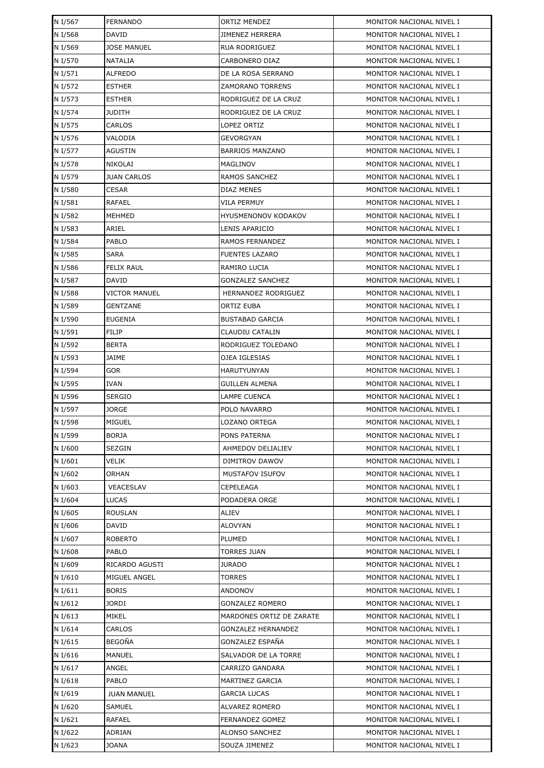| N I/567            | <b>FERNANDO</b>                | <b>ORTIZ MENDEZ</b>                     | MONITOR NACIONAL NIVEL I                             |
|--------------------|--------------------------------|-----------------------------------------|------------------------------------------------------|
| N I/568            | <b>DAVID</b>                   | <b>JIMENEZ HERRERA</b>                  | MONITOR NACIONAL NIVEL I                             |
| N I/569            | <b>JOSE MANUEL</b>             | RUA RODRIGUEZ                           | MONITOR NACIONAL NIVEL I                             |
| N I/570            | <b>NATALIA</b>                 | CARBONERO DIAZ                          | MONITOR NACIONAL NIVEL I                             |
| N I/571            | <b>ALFREDO</b>                 | DE LA ROSA SERRANO                      | MONITOR NACIONAL NIVEL I                             |
| N I/572            | <b>ESTHER</b>                  | ZAMORANO TORRENS                        | MONITOR NACIONAL NIVEL I                             |
| N I/573            | <b>ESTHER</b>                  | RODRIGUEZ DE LA CRUZ                    | MONITOR NACIONAL NIVEL I                             |
| N I/574            | <b>JUDITH</b>                  | RODRIGUEZ DE LA CRUZ                    | MONITOR NACIONAL NIVEL I                             |
| N I/575            | <b>CARLOS</b>                  | LOPEZ ORTIZ                             | MONITOR NACIONAL NIVEL I                             |
| N I/576            | VALODIA                        | GEVORGYAN                               | MONITOR NACIONAL NIVEL I                             |
| N I/577            | <b>AGUSTIN</b>                 | <b>BARRIOS MANZANO</b>                  | MONITOR NACIONAL NIVEL I                             |
| N I/578            | NIKOLAI                        | MAGLINOV                                | MONITOR NACIONAL NIVEL I                             |
| N I/579            | <b>JUAN CARLOS</b>             | RAMOS SANCHEZ                           | MONITOR NACIONAL NIVEL I                             |
| N I/580            | <b>CESAR</b>                   | DIAZ MENES                              | MONITOR NACIONAL NIVEL I                             |
| N I/581            | <b>RAFAEL</b>                  | VILA PERMUY                             | MONITOR NACIONAL NIVEL I                             |
| N I/582            | MEHMED                         | <b>HYUSMENONOV KODAKOV</b>              | MONITOR NACIONAL NIVEL I                             |
| N I/583            | ARIEL                          | LENIS APARICIO                          | MONITOR NACIONAL NIVEL I                             |
| N I/584            | <b>PABLO</b>                   | RAMOS FERNANDEZ                         | MONITOR NACIONAL NIVEL I                             |
| N I/585            | <b>SARA</b>                    | <b>FUENTES LAZARO</b>                   | MONITOR NACIONAL NIVEL I                             |
| N I/586            | <b>FELIX RAUL</b>              | RAMIRO LUCIA                            | MONITOR NACIONAL NIVEL I                             |
| N I/587            | DAVID                          | GONZALEZ SANCHEZ                        | MONITOR NACIONAL NIVEL I                             |
| N I/588            | <b>VICTOR MANUEL</b>           | HERNANDEZ RODRIGUEZ                     | MONITOR NACIONAL NIVEL I                             |
| N I/589            | <b>GENTZANE</b>                | ORTIZ EUBA                              | MONITOR NACIONAL NIVEL I                             |
| N I/590            | <b>EUGENIA</b>                 | <b>BUSTABAD GARCIA</b>                  | MONITOR NACIONAL NIVEL I                             |
| N I/591            | <b>FILIP</b>                   | CLAUDIU CATALIN                         | MONITOR NACIONAL NIVEL I                             |
| N I/592            | <b>BERTA</b>                   | RODRIGUEZ TOLEDANO                      | MONITOR NACIONAL NIVEL I                             |
| N I/593            | JAIME                          | OJEA IGLESIAS                           | MONITOR NACIONAL NIVEL I                             |
| N I/594            | <b>GOR</b>                     | <b>HARUTYUNYAN</b>                      | MONITOR NACIONAL NIVEL I                             |
| N I/595            | <b>IVAN</b>                    | <b>GUILLEN ALMENA</b>                   | MONITOR NACIONAL NIVEL I                             |
| N I/596            | <b>SERGIO</b>                  | LAMPE CUENCA                            | MONITOR NACIONAL NIVEL I                             |
| N I/597            | <b>JORGE</b>                   | POLO NAVARRO                            | MONITOR NACIONAL NIVEL I                             |
| N I/598            | MIGUEL                         | LOZANO ORTEGA                           | MONITOR NACIONAL NIVEL I                             |
| N I/599            | <b>BORJA</b>                   | PONS PATERNA                            | MONITOR NACIONAL NIVEL I                             |
| N I/600            | SEZGIN                         | AHMEDOV DELIALIEV                       | MONITOR NACIONAL NIVEL I                             |
| N I/601            | VELIK                          | DIMITROV DAWOV                          | MONITOR NACIONAL NIVEL I                             |
| N I/602            | <b>ORHAN</b>                   | <b>MUSTAFOV ISUFOV</b>                  | MONITOR NACIONAL NIVEL I                             |
| N I/603            | VEACESLAV                      | CEPELEAGA                               | MONITOR NACIONAL NIVEL I                             |
| N I/604            | <b>LUCAS</b>                   | PODADERA ORGE                           | MONITOR NACIONAL NIVEL I                             |
| N I/605            | <b>ROUSLAN</b>                 | ALIEV                                   | MONITOR NACIONAL NIVEL I                             |
| N I/606            | DAVID                          | ALOVYAN                                 | MONITOR NACIONAL NIVEL I                             |
| N I/607            | <b>ROBERTO</b>                 | PLUMED                                  | MONITOR NACIONAL NIVEL I                             |
| N I/608            | PABLO                          | <b>TORRES JUAN</b>                      | MONITOR NACIONAL NIVEL I                             |
| N I/609            | RICARDO AGUSTI                 | JURADO                                  | MONITOR NACIONAL NIVEL I                             |
| N I/610            | MIGUEL ANGEL                   | TORRES                                  | MONITOR NACIONAL NIVEL I                             |
| N I/611            | <b>BORIS</b>                   | ANDONOV                                 | MONITOR NACIONAL NIVEL I                             |
| N I/612            | JORDI                          | GONZALEZ ROMERO                         | MONITOR NACIONAL NIVEL I                             |
| N I/613            | MIKEL                          | MARDONES ORTIZ DE ZARATE                | MONITOR NACIONAL NIVEL I                             |
| N I/614            | CARLOS                         | <b>GONZALEZ HERNANDEZ</b>               | MONITOR NACIONAL NIVEL I                             |
| N I/615<br>N I/616 | <b>BEGOÑA</b><br><b>MANUEL</b> | GONZALEZ ESPAÑA<br>SALVADOR DE LA TORRE | MONITOR NACIONAL NIVEL I<br>MONITOR NACIONAL NIVEL I |
| N I/617            | ANGEL                          | CARRIZO GANDARA                         | MONITOR NACIONAL NIVEL I                             |
| N I/618            | PABLO                          |                                         | MONITOR NACIONAL NIVEL I                             |
| N I/619            | <b>JUAN MANUEL</b>             | MARTINEZ GARCIA<br><b>GARCIA LUCAS</b>  | MONITOR NACIONAL NIVEL I                             |
| N I/620            | SAMUEL                         | ALVAREZ ROMERO                          | MONITOR NACIONAL NIVEL I                             |
| N I/621            | RAFAEL                         | FERNANDEZ GOMEZ                         | MONITOR NACIONAL NIVEL I                             |
| N I/622            | ADRIAN                         | <b>ALONSO SANCHEZ</b>                   | MONITOR NACIONAL NIVEL I                             |
| N I/623            | <b>JOANA</b>                   | SOUZA JIMENEZ                           | MONITOR NACIONAL NIVEL I                             |
|                    |                                |                                         |                                                      |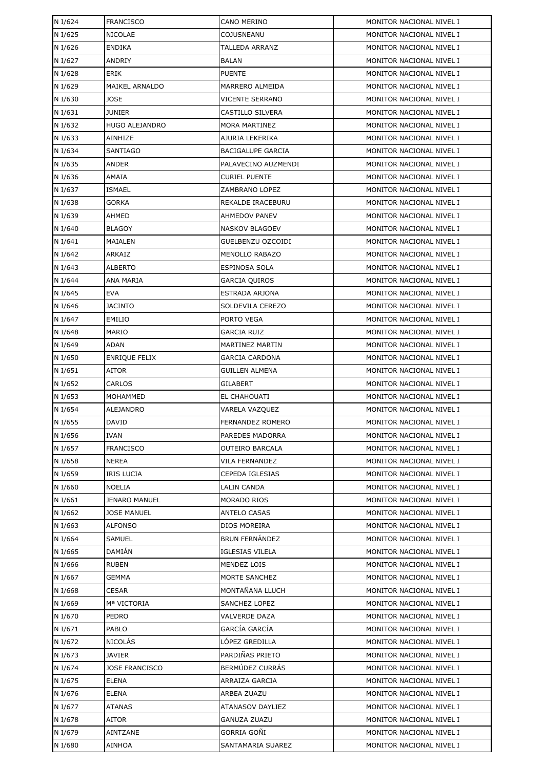| N I/624            | <b>FRANCISCO</b>       | CANO MERINO                        | MONITOR NACIONAL NIVEL I                             |
|--------------------|------------------------|------------------------------------|------------------------------------------------------|
| N I/625            | NICOLAE                | COJUSNEANU                         | MONITOR NACIONAL NIVEL I                             |
| N I/626            | <b>ENDIKA</b>          | <b>TALLEDA ARRANZ</b>              | MONITOR NACIONAL NIVEL I                             |
| N I/627            | ANDRIY                 | <b>BALAN</b>                       | MONITOR NACIONAL NIVEL I                             |
| N I/628            | ERIK                   | <b>PUENTE</b>                      | MONITOR NACIONAL NIVEL I                             |
| N I/629            | <b>MAIKEL ARNALDO</b>  | MARRERO ALMEIDA                    | MONITOR NACIONAL NIVEL I                             |
| N I/630            | JOSE                   | VICENTE SERRANO                    | MONITOR NACIONAL NIVEL I                             |
| N I/631            | <b>JUNIER</b>          | CASTILLO SILVERA                   | MONITOR NACIONAL NIVEL I                             |
| N I/632            | HUGO ALEJANDRO         | <b>MORA MARTINEZ</b>               | MONITOR NACIONAL NIVEL I                             |
| N I/633            | AINHIZE                | AJURIA LEKERIKA                    | MONITOR NACIONAL NIVEL I                             |
| N I/634            | <b>SANTIAGO</b>        | <b>BACIGALUPE GARCIA</b>           | MONITOR NACIONAL NIVEL I                             |
| N I/635            | ANDER                  | PALAVECINO AUZMENDI                | MONITOR NACIONAL NIVEL I                             |
| N I/636            | AMAIA                  | <b>CURIEL PUENTE</b>               | MONITOR NACIONAL NIVEL I                             |
| N I/637            | <b>ISMAEL</b>          | ZAMBRANO LOPEZ                     | MONITOR NACIONAL NIVEL I                             |
| N I/638            | GORKA                  | REKALDE IRACEBURU                  | MONITOR NACIONAL NIVEL I                             |
| N I/639            | AHMED                  | AHMEDOV PANEV                      | MONITOR NACIONAL NIVEL I                             |
| N I/640            | <b>BLAGOY</b>          | NASKOV BLAGOEV                     | MONITOR NACIONAL NIVEL I                             |
| N I/641            | MAIALEN                | GUELBENZU OZCOIDI                  | MONITOR NACIONAL NIVEL I                             |
| N I/642            | <b>ARKAIZ</b>          | MENOLLO RABAZO                     | MONITOR NACIONAL NIVEL I                             |
| N I/643            | <b>ALBERTO</b>         | <b>ESPINOSA SOLA</b>               | MONITOR NACIONAL NIVEL I                             |
| N I/644            | ANA MARIA              | <b>GARCIA QUIROS</b>               | MONITOR NACIONAL NIVEL I                             |
| N I/645            | <b>EVA</b>             | ESTRADA ARJONA                     | MONITOR NACIONAL NIVEL I                             |
| N I/646            | <b>JACINTO</b>         | SOLDEVILA CEREZO                   | MONITOR NACIONAL NIVEL I                             |
| N I/647            | <b>EMILIO</b>          | PORTO VEGA                         | MONITOR NACIONAL NIVEL I                             |
| N I/648            | MARIO                  | <b>GARCIA RUIZ</b>                 | MONITOR NACIONAL NIVEL I                             |
| N I/649            | ADAN                   | MARTINEZ MARTIN                    | MONITOR NACIONAL NIVEL I                             |
| N I/650            | ENRIQUE FELIX          | <b>GARCIA CARDONA</b>              | MONITOR NACIONAL NIVEL I                             |
| N I/651            | AITOR                  | <b>GUILLEN ALMENA</b>              | MONITOR NACIONAL NIVEL I                             |
| N I/652            | CARLOS                 | GILABERT                           | MONITOR NACIONAL NIVEL I                             |
| N I/653            | MOHAMMED               | EL CHAHOUATI                       | MONITOR NACIONAL NIVEL I                             |
| N I/654            | ALEJANDRO              | VARELA VAZQUEZ                     | MONITOR NACIONAL NIVEL I                             |
| N I/655            | <b>DAVID</b>           | <b>FERNANDEZ ROMERO</b>            | MONITOR NACIONAL NIVEL I                             |
| N I/656            | IVAN                   | PAREDES MADORRA                    | MONITOR NACIONAL NIVEL I                             |
| N I/657            | <b>FRANCISCO</b>       | OUTEIRO BARCALA                    | MONITOR NACIONAL NIVEL I                             |
| N I/658            | NEREA                  | VILA FERNANDEZ                     | MONITOR NACIONAL NIVEL I                             |
| N I/659            | <b>IRIS LUCIA</b>      | CEPEDA IGLESIAS                    | MONITOR NACIONAL NIVEL I                             |
| N I/660            | NOELIA                 | LALIN CANDA                        | MONITOR NACIONAL NIVEL I                             |
| N I/661            | <b>JENARO MANUEL</b>   | MORADO RIOS                        | MONITOR NACIONAL NIVEL I                             |
| N I/662            | <b>JOSE MANUEL</b>     | <b>ANTELO CASAS</b>                | MONITOR NACIONAL NIVEL I                             |
| N I/663            | <b>ALFONSO</b>         | DIOS MOREIRA                       | MONITOR NACIONAL NIVEL I                             |
| N I/664            | <b>SAMUEL</b>          | <b>BRUN FERNÁNDEZ</b>              | MONITOR NACIONAL NIVEL I                             |
| N I/665            | DAMIAN                 | <b>IGLESIAS VILELA</b>             | MONITOR NACIONAL NIVEL I                             |
| N I/666            | RUBEN                  | MENDEZ LOIS                        | MONITOR NACIONAL NIVEL I                             |
| N I/667            | GEMMA                  | MORTE SANCHEZ                      | MONITOR NACIONAL NIVEL I                             |
| N I/668            | <b>CESAR</b>           | MONTAÑANA LLUCH                    | MONITOR NACIONAL NIVEL I                             |
| N I/669            | Mª VICTORIA            | SANCHEZ LOPEZ                      | MONITOR NACIONAL NIVEL I                             |
| N I/670            | PEDRO                  | VALVERDE DAZA                      | MONITOR NACIONAL NIVEL I                             |
| N I/671            | PABLO                  | GARCÍA GARCÍA                      | MONITOR NACIONAL NIVEL I                             |
| N I/672            | NICOLÁS                | LÓPEZ GREDILLA                     | MONITOR NACIONAL NIVEL I                             |
| N I/673            | JAVIER                 | PARDIÑAS PRIETO<br>BERMÚDEZ CURRÁS | MONITOR NACIONAL NIVEL I                             |
| N I/674            | <b>JOSE FRANCISCO</b>  |                                    | MONITOR NACIONAL NIVEL I                             |
| N I/675            | <b>ELENA</b>           | ARRAIZA GARCIA                     | MONITOR NACIONAL NIVEL I                             |
| N I/676<br>N I/677 | <b>ELENA</b><br>ATANAS | ARBEA ZUAZU<br>ATANASOV DAYLIEZ    | MONITOR NACIONAL NIVEL I<br>MONITOR NACIONAL NIVEL I |
| N I/678            | AITOR                  | GANUZA ZUAZU                       | MONITOR NACIONAL NIVEL I                             |
| N I/679            | AINTZANE               | GORRIA GOÑI                        | MONITOR NACIONAL NIVEL I                             |
| N I/680            | AINHOA                 | SANTAMARIA SUAREZ                  | MONITOR NACIONAL NIVEL I                             |
|                    |                        |                                    |                                                      |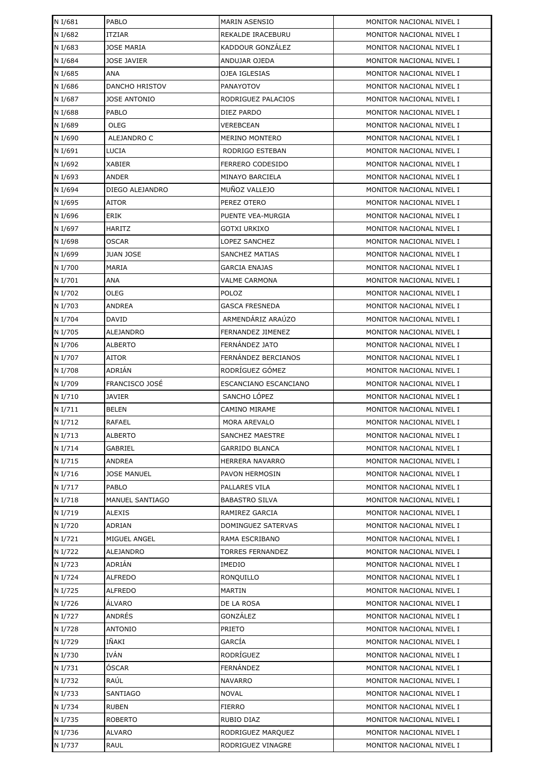| N I/681            | PABLO                  | <b>MARIN ASENSIO</b>    | MONITOR NACIONAL NIVEL I                             |
|--------------------|------------------------|-------------------------|------------------------------------------------------|
| N I/682            | <b>ITZIAR</b>          | REKALDE IRACEBURU       | MONITOR NACIONAL NIVEL I                             |
| N I/683            | <b>JOSE MARIA</b>      | KADDOUR GONZÁLEZ        | MONITOR NACIONAL NIVEL I                             |
| N I/684            | JOSE JAVIER            | ANDUJAR OJEDA           | MONITOR NACIONAL NIVEL I                             |
| N I/685            | ANA                    | OJEA IGLESIAS           | MONITOR NACIONAL NIVEL I                             |
| N I/686            | <b>DANCHO HRISTOV</b>  | <b>PANAYOTOV</b>        | MONITOR NACIONAL NIVEL I                             |
| N I/687            | JOSE ANTONIO           | RODRIGUEZ PALACIOS      | MONITOR NACIONAL NIVEL I                             |
| N I/688            | PABLO                  | DIEZ PARDO              | MONITOR NACIONAL NIVEL I                             |
| N I/689            | OLEG                   | VEREBCEAN               | MONITOR NACIONAL NIVEL I                             |
| N I/690            | ALEJANDRO C            | <b>MERINO MONTERO</b>   | MONITOR NACIONAL NIVEL I                             |
| N I/691            | <b>LUCIA</b>           | RODRIGO ESTEBAN         | MONITOR NACIONAL NIVEL I                             |
| N I/692            | <b>XABIER</b>          | <b>FERRERO CODESIDO</b> | MONITOR NACIONAL NIVEL I                             |
| N I/693            | ANDER                  | MINAYO BARCIELA         | MONITOR NACIONAL NIVEL I                             |
| N I/694            | DIEGO ALEJANDRO        | MUÑOZ VALLEJO           | MONITOR NACIONAL NIVEL I                             |
| N I/695            | <b>AITOR</b>           | PEREZ OTERO             | MONITOR NACIONAL NIVEL I                             |
| N I/696            | ERIK                   | PUENTE VEA-MURGIA       | MONITOR NACIONAL NIVEL I                             |
| N I/697            | <b>HARITZ</b>          | <b>GOTXI URKIXO</b>     | MONITOR NACIONAL NIVEL I                             |
| N I/698            | OSCAR                  | LOPEZ SANCHEZ           | MONITOR NACIONAL NIVEL I                             |
| N I/699            | <b>JUAN JOSE</b>       | <b>SANCHEZ MATIAS</b>   | MONITOR NACIONAL NIVEL I                             |
| N I/700            | MARIA                  | <b>GARCIA ENAJAS</b>    | MONITOR NACIONAL NIVEL I                             |
| N I/701            | ANA                    | <b>VALME CARMONA</b>    | MONITOR NACIONAL NIVEL I                             |
| N I/702            | OLEG                   | POLOZ                   | MONITOR NACIONAL NIVEL I                             |
| N I/703            | ANDREA                 | GASCA FRESNEDA          | MONITOR NACIONAL NIVEL I                             |
| N I/704            | <b>DAVID</b>           | ARMENDÁRIZ ARAÚZO       | MONITOR NACIONAL NIVEL I                             |
| N I/705            | ALEJANDRO              | FERNANDEZ JIMENEZ       | MONITOR NACIONAL NIVEL I                             |
| N I/706            | <b>ALBERTO</b>         | FERNANDEZ JATO          | MONITOR NACIONAL NIVEL I                             |
| N I/707            | AITOR                  | FERNÁNDEZ BERCIANOS     | MONITOR NACIONAL NIVEL I                             |
| N I/708            | ADRIÁN                 | RODRÍGUEZ GÓMEZ         | MONITOR NACIONAL NIVEL I                             |
| N I/709            | FRANCISCO JOSÉ         | ESCANCIANO ESCANCIANO   | MONITOR NACIONAL NIVEL I                             |
| N I/710            | <b>JAVIER</b>          | SANCHO LÓPEZ            | MONITOR NACIONAL NIVEL I                             |
| N I/711            | <b>BELEN</b>           | CAMINO MIRAME           | MONITOR NACIONAL NIVEL I                             |
| N I/712            | <b>RAFAEL</b>          | <b>MORA AREVALO</b>     | MONITOR NACIONAL NIVEL I                             |
| N I/713            | <b>ALBERTO</b>         | SANCHEZ MAESTRE         | MONITOR NACIONAL NIVEL I                             |
| N I/714            | GABRIEL                | <b>GARRIDO BLANCA</b>   | MONITOR NACIONAL NIVEL I                             |
| N I/715            | ANDREA                 | HERRERA NAVARRO         | MONITOR NACIONAL NIVEL I                             |
| N I/716            | <b>JOSE MANUEL</b>     | <b>PAVON HERMOSIN</b>   | MONITOR NACIONAL NIVEL I                             |
| N I/717            | PABLO                  | PALLARES VILA           | MONITOR NACIONAL NIVEL I                             |
| N I/718            | <b>MANUEL SANTIAGO</b> | <b>BABASTRO SILVA</b>   | MONITOR NACIONAL NIVEL I                             |
| N I/719            | ALEXIS                 | RAMIREZ GARCIA          | MONITOR NACIONAL NIVEL I                             |
| N I/720            | ADRIAN                 | DOMINGUEZ SATERVAS      | MONITOR NACIONAL NIVEL I                             |
| N I/721            | MIGUEL ANGEL           | RAMA ESCRIBANO          | MONITOR NACIONAL NIVEL I                             |
| N I/722            | ALEJANDRO              | <b>TORRES FERNANDEZ</b> | MONITOR NACIONAL NIVEL I                             |
| N I/723            | ADRIÁN                 | IMEDIO                  | MONITOR NACIONAL NIVEL I                             |
| N I/724            | <b>ALFREDO</b>         | RONQUILLO               | MONITOR NACIONAL NIVEL I                             |
| N I/725            | <b>ALFREDO</b>         | MARTIN                  | MONITOR NACIONAL NIVEL I                             |
| N I/726            | ÁLVARO                 | DE LA ROSA              | MONITOR NACIONAL NIVEL I                             |
| N I/727            | ANDRÉS                 | GONZÁLEZ                | MONITOR NACIONAL NIVEL I                             |
| N I/728            | ANTONIO                | <b>PRIETO</b>           | MONITOR NACIONAL NIVEL I                             |
| N I/729            | IÑAKI<br>IVÁN          | GARCÍA<br>RODRÍGUEZ     | MONITOR NACIONAL NIVEL I                             |
| N I/730            | ÓSCAR                  | FERNÁNDEZ               | MONITOR NACIONAL NIVEL I                             |
| N I/731            | RAÚL                   | <b>NAVARRO</b>          | MONITOR NACIONAL NIVEL I<br>MONITOR NACIONAL NIVEL I |
| N I/732<br>N I/733 | <b>SANTIAGO</b>        | <b>NOVAL</b>            | MONITOR NACIONAL NIVEL I                             |
| N I/734            | RUBEN                  | FIERRO                  | MONITOR NACIONAL NIVEL I                             |
| N I/735            | <b>ROBERTO</b>         | RUBIO DIAZ              | MONITOR NACIONAL NIVEL I                             |
| N I/736            | ALVARO                 | RODRIGUEZ MARQUEZ       | MONITOR NACIONAL NIVEL I                             |
| N I/737            | RAUL                   | RODRIGUEZ VINAGRE       | MONITOR NACIONAL NIVEL I                             |
|                    |                        |                         |                                                      |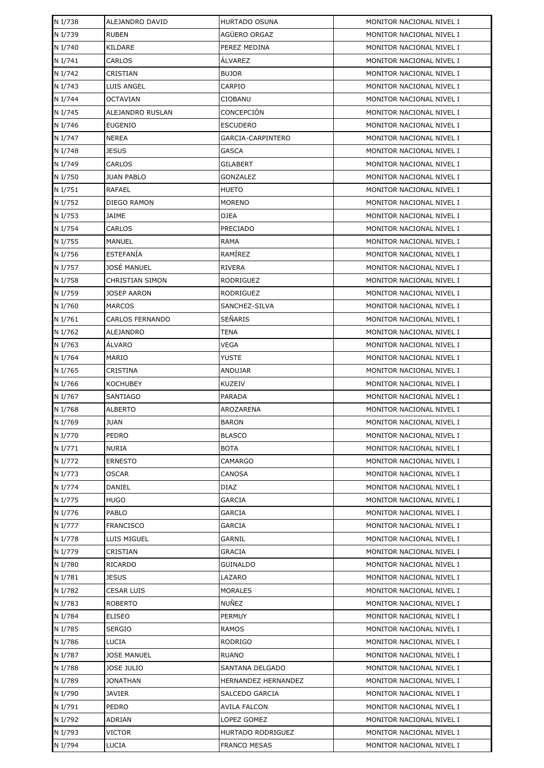| N I/738 | ALEJANDRO DAVID        | <b>HURTADO OSUNA</b> | MONITOR NACIONAL NIVEL I |
|---------|------------------------|----------------------|--------------------------|
| N I/739 | <b>RUBEN</b>           | AGÜERO ORGAZ         | MONITOR NACIONAL NIVEL I |
| N I/740 | KILDARE                | PEREZ MEDINA         | MONITOR NACIONAL NIVEL I |
| N I/741 | CARLOS                 | ÁLVAREZ              | MONITOR NACIONAL NIVEL I |
| N I/742 | CRISTIAN               | <b>BUJOR</b>         | MONITOR NACIONAL NIVEL I |
| N I/743 | LUIS ANGEL             | CARPIO               | MONITOR NACIONAL NIVEL I |
| N I/744 | <b>OCTAVIAN</b>        | CIOBANU              | MONITOR NACIONAL NIVEL I |
| N I/745 | ALEJANDRO RUSLAN       | CONCEPCIÓN           | MONITOR NACIONAL NIVEL I |
| N I/746 | <b>EUGENIO</b>         | <b>ESCUDERO</b>      | MONITOR NACIONAL NIVEL I |
| N I/747 | NEREA                  | GARCIA-CARPINTERO    | MONITOR NACIONAL NIVEL I |
| N I/748 | <b>JESUS</b>           | <b>GASCA</b>         | MONITOR NACIONAL NIVEL I |
| N I/749 | CARLOS                 | GILABERT             | MONITOR NACIONAL NIVEL I |
| N I/750 | <b>JUAN PABLO</b>      | GONZALEZ             | MONITOR NACIONAL NIVEL I |
| N I/751 | RAFAEL                 | <b>HUETO</b>         | MONITOR NACIONAL NIVEL I |
| N I/752 | DIEGO RAMON            | <b>MORENO</b>        | MONITOR NACIONAL NIVEL I |
| N I/753 | JAIME                  | OJEA                 | MONITOR NACIONAL NIVEL I |
| N I/754 | CARLOS                 | <b>PRECIADO</b>      | MONITOR NACIONAL NIVEL I |
| N I/755 | MANUEL                 | <b>RAMA</b>          | MONITOR NACIONAL NIVEL I |
| N I/756 | <b>ESTEFANÍA</b>       | RAMÍREZ              | MONITOR NACIONAL NIVEL I |
| N I/757 | JOSÉ MANUEL            | <b>RIVERA</b>        | MONITOR NACIONAL NIVEL I |
| N I/758 | <b>CHRISTIAN SIMON</b> | RODRIGUEZ            | MONITOR NACIONAL NIVEL I |
| N I/759 | <b>JOSEP AARON</b>     | RODRIGUEZ            | MONITOR NACIONAL NIVEL I |
| N I/760 | <b>MARCOS</b>          | SANCHEZ-SILVA        | MONITOR NACIONAL NIVEL I |
| N I/761 | <b>CARLOS FERNANDO</b> | <b>SEÑARIS</b>       | MONITOR NACIONAL NIVEL I |
| N I/762 | ALEJANDRO              | TENA                 | MONITOR NACIONAL NIVEL I |
| N I/763 | <b>ALVARO</b>          | VEGA                 | MONITOR NACIONAL NIVEL I |
| N I/764 | MARIO                  | YUSTE                | MONITOR NACIONAL NIVEL I |
| N I/765 | CRISTINA               | ANDUJAR              | MONITOR NACIONAL NIVEL I |
| N I/766 | <b>KOCHUBEY</b>        | <b>KUZEIV</b>        | MONITOR NACIONAL NIVEL I |
| N I/767 | <b>SANTIAGO</b>        | PARADA               | MONITOR NACIONAL NIVEL I |
| N I/768 | <b>ALBERTO</b>         | AROZARENA            | MONITOR NACIONAL NIVEL I |
| N I/769 | <b>JUAN</b>            | <b>BARON</b>         | MONITOR NACIONAL NIVEL I |
| N I/770 | PEDRO                  | <b>BLASCO</b>        | MONITOR NACIONAL NIVEL I |
| N I/771 | <b>NURIA</b>           | <b>BOTA</b>          | MONITOR NACIONAL NIVEL I |
| N I/772 | <b>ERNESTO</b>         | CAMARGO              | MONITOR NACIONAL NIVEL I |
| N I/773 | OSCAR                  | CANOSA               | MONITOR NACIONAL NIVEL I |
| N I/774 | DANIEL                 | <b>DIAZ</b>          | MONITOR NACIONAL NIVEL I |
| N I/775 | HUGO                   | GARCIA               | MONITOR NACIONAL NIVEL I |
| N I/776 | PABLO                  | GARCIA               | MONITOR NACIONAL NIVEL I |
| N I/777 | <b>FRANCISCO</b>       | GARCIA               | MONITOR NACIONAL NIVEL I |
| N I/778 | LUIS MIGUEL            | GARNIL               | MONITOR NACIONAL NIVEL I |
| N I/779 | CRISTIAN               | <b>GRACIA</b>        | MONITOR NACIONAL NIVEL I |
| N I/780 | RICARDO                | GUINALDO             | MONITOR NACIONAL NIVEL I |
| N I/781 | <b>JESUS</b>           | LAZARO               | MONITOR NACIONAL NIVEL I |
| N I/782 | <b>CESAR LUIS</b>      | <b>MORALES</b>       | MONITOR NACIONAL NIVEL I |
| N I/783 | <b>ROBERTO</b>         | NUÑEZ                | MONITOR NACIONAL NIVEL I |
| N I/784 | <b>ELISEO</b>          | <b>PERMUY</b>        | MONITOR NACIONAL NIVEL I |
| N I/785 | <b>SERGIO</b>          | <b>RAMOS</b>         | MONITOR NACIONAL NIVEL I |
| N I/786 | LUCIA                  | <b>RODRIGO</b>       | MONITOR NACIONAL NIVEL I |
| N I/787 | <b>JOSE MANUEL</b>     | <b>RUANO</b>         | MONITOR NACIONAL NIVEL I |
| N I/788 | <b>JOSE JULIO</b>      | SANTANA DELGADO      | MONITOR NACIONAL NIVEL I |
| N I/789 | JONATHAN               | HERNANDEZ HERNANDEZ  | MONITOR NACIONAL NIVEL I |
| N I/790 | <b>JAVIER</b>          | SALCEDO GARCIA       | MONITOR NACIONAL NIVEL I |
| N I/791 | PEDRO                  | <b>AVILA FALCON</b>  | MONITOR NACIONAL NIVEL I |
| N I/792 | ADRIAN                 | LOPEZ GOMEZ          | MONITOR NACIONAL NIVEL I |
| N I/793 | VICTOR                 | HURTADO RODRIGUEZ    | MONITOR NACIONAL NIVEL I |
| N I/794 | <b>LUCIA</b>           | <b>FRANCO MESAS</b>  | MONITOR NACIONAL NIVEL I |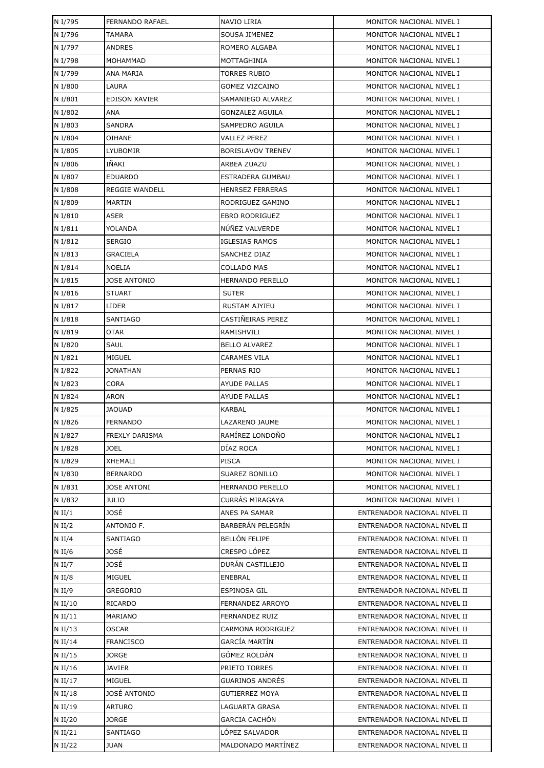| N I/795   | FERNANDO RAFAEL       | NAVIO LIRIA              | MONITOR NACIONAL NIVEL I     |
|-----------|-----------------------|--------------------------|------------------------------|
| N I/796   | TAMARA                | SOUSA JIMENEZ            | MONITOR NACIONAL NIVEL I     |
| N I/797   | <b>ANDRES</b>         | ROMERO ALGABA            | MONITOR NACIONAL NIVEL I     |
| N I/798   | MOHAMMAD              | MOTTAGHINIA              | MONITOR NACIONAL NIVEL I     |
| N I/799   | <b>ANA MARIA</b>      | <b>TORRES RUBIO</b>      | MONITOR NACIONAL NIVEL I     |
| N I/800   | LAURA                 | <b>GOMEZ VIZCAINO</b>    | MONITOR NACIONAL NIVEL I     |
| N I/801   | <b>EDISON XAVIER</b>  | SAMANIEGO ALVAREZ        | MONITOR NACIONAL NIVEL I     |
| N I/802   | ANA                   | GONZALEZ AGUILA          | MONITOR NACIONAL NIVEL I     |
| N I/803   | <b>SANDRA</b>         | SAMPEDRO AGUILA          | MONITOR NACIONAL NIVEL I     |
| N I/804   | OIHANE                | VALLEZ PEREZ             | MONITOR NACIONAL NIVEL I     |
| N I/805   | LYUBOMIR              | <b>BORISLAVOV TRENEV</b> | MONITOR NACIONAL NIVEL I     |
| N I/806   | IÑAKI                 | ARBEA ZUAZU              | MONITOR NACIONAL NIVEL I     |
| N I/807   | <b>EDUARDO</b>        | ESTRADERA GUMBAU         | MONITOR NACIONAL NIVEL I     |
| N I/808   | <b>REGGIE WANDELL</b> | <b>HENRSEZ FERRERAS</b>  | MONITOR NACIONAL NIVEL I     |
| N I/809   | MARTIN                | RODRIGUEZ GAMINO         | MONITOR NACIONAL NIVEL I     |
| N I/810   | ASER                  | <b>EBRO RODRIGUEZ</b>    | MONITOR NACIONAL NIVEL I     |
| N I/811   | YOLANDA               | NÚÑEZ VALVERDE           | MONITOR NACIONAL NIVEL I     |
| N I/812   | <b>SERGIO</b>         | <b>IGLESIAS RAMOS</b>    | MONITOR NACIONAL NIVEL I     |
| N I/813   | GRACIELA              | SANCHEZ DIAZ             | MONITOR NACIONAL NIVEL I     |
| N I/814   | <b>NOELIA</b>         | <b>COLLADO MAS</b>       | MONITOR NACIONAL NIVEL I     |
| N I/815   | JOSE ANTONIO          | <b>HERNANDO PERELLO</b>  | MONITOR NACIONAL NIVEL I     |
| N I/816   | <b>STUART</b>         | <b>SUTER</b>             | MONITOR NACIONAL NIVEL I     |
| N I/817   | LIDER                 | RUSTAM AJYIEU            | MONITOR NACIONAL NIVEL I     |
| N I/818   | <b>SANTIAGO</b>       | CASTIÑEIRAS PEREZ        | MONITOR NACIONAL NIVEL I     |
| N I/819   | <b>OTAR</b>           | RAMISHVILI               | MONITOR NACIONAL NIVEL I     |
| N I/820   | <b>SAUL</b>           | <b>BELLO ALVAREZ</b>     | MONITOR NACIONAL NIVEL I     |
| N I/821   | MIGUEL                | <b>CARAMES VILA</b>      | MONITOR NACIONAL NIVEL I     |
| N I/822   | <b>JONATHAN</b>       | PERNAS RIO               | MONITOR NACIONAL NIVEL I     |
| N I/823   | <b>CORA</b>           | <b>AYUDE PALLAS</b>      | MONITOR NACIONAL NIVEL I     |
| N I/824   | ARON                  | <b>AYUDE PALLAS</b>      | MONITOR NACIONAL NIVEL I     |
| N I/825   | <b>JAOUAD</b>         | <b>KARBAL</b>            | MONITOR NACIONAL NIVEL I     |
| N I/826   | <b>FERNANDO</b>       | LAZARENO JAUME           | MONITOR NACIONAL NIVEL I     |
| N I/827   | FREXLY DARISMA        | RAMÍREZ LONDOÑO          | MONITOR NACIONAL NIVEL I     |
| N I/828   | <b>JOEL</b>           | DÍAZ ROCA                | MONITOR NACIONAL NIVEL I     |
| N I/829   | <b>XHEMALI</b>        | PISCA                    | MONITOR NACIONAL NIVEL I     |
| N I/830   | <b>BERNARDO</b>       | SUAREZ BONILLO           | MONITOR NACIONAL NIVEL I     |
| N I/831   | <b>JOSE ANTONI</b>    | HERNANDO PERELLO         | MONITOR NACIONAL NIVEL I     |
| N I/832   | JULIO                 | CURRÁS MIRAGAYA          | MONITOR NACIONAL NIVEL I     |
| $N$ II/1  | JOSÉ                  | ANES PA SAMAR            | ENTRENADOR NACIONAL NIVEL II |
| $N$ II/2  | ANTONIO F.            | BARBERÁN PELEGRÍN        | ENTRENADOR NACIONAL NIVEL II |
| $N$ II/4  | <b>SANTIAGO</b>       | <b>BELLÓN FELIPE</b>     | ENTRENADOR NACIONAL NIVEL II |
| $N$ II/6  | JOSÉ                  | CRESPO LÓPEZ             | ENTRENADOR NACIONAL NIVEL II |
| $N$ II/7  | JOSÉ                  | DURÁN CASTILLEJO         | ENTRENADOR NACIONAL NIVEL II |
| $N$ II/8  | MIGUEL                | ENEBRAL                  | ENTRENADOR NACIONAL NIVEL II |
| $N$ II/9  | <b>GREGORIO</b>       | ESPINOSA GIL             | ENTRENADOR NACIONAL NIVEL II |
| N II/10   | RICARDO               | FERNANDEZ ARROYO         | ENTRENADOR NACIONAL NIVEL II |
| $N$ II/11 | MARIANO               | FERNANDEZ RUIZ           | ENTRENADOR NACIONAL NIVEL II |
| $N$ II/13 | <b>OSCAR</b>          | CARMONA RODRIGUEZ        | ENTRENADOR NACIONAL NIVEL II |
| N II/14   | <b>FRANCISCO</b>      | GARCÍA MARTÍN            | ENTRENADOR NACIONAL NIVEL II |
| N II/15   | JORGE                 | GÓMEZ ROLDÁN             | ENTRENADOR NACIONAL NIVEL II |
| $N$ II/16 | JAVIER                | PRIETO TORRES            | ENTRENADOR NACIONAL NIVEL II |
| N II/17   | MIGUEL                | GUARINOS ANDRÉS          | ENTRENADOR NACIONAL NIVEL II |
| N II/18   | JOSÉ ANTONIO          | GUTIERREZ MOYA           | ENTRENADOR NACIONAL NIVEL II |
| N II/19   | <b>ARTURO</b>         | LAGUARTA GRASA           | ENTRENADOR NACIONAL NIVEL II |
| N II/20   | JORGE                 | <b>GARCIA CACHÓN</b>     | ENTRENADOR NACIONAL NIVEL II |
| N II/21   | <b>SANTIAGO</b>       | LÓPEZ SALVADOR           | ENTRENADOR NACIONAL NIVEL II |
| N II/22   | <b>JUAN</b>           | MALDONADO MARTÍNEZ       | ENTRENADOR NACIONAL NIVEL II |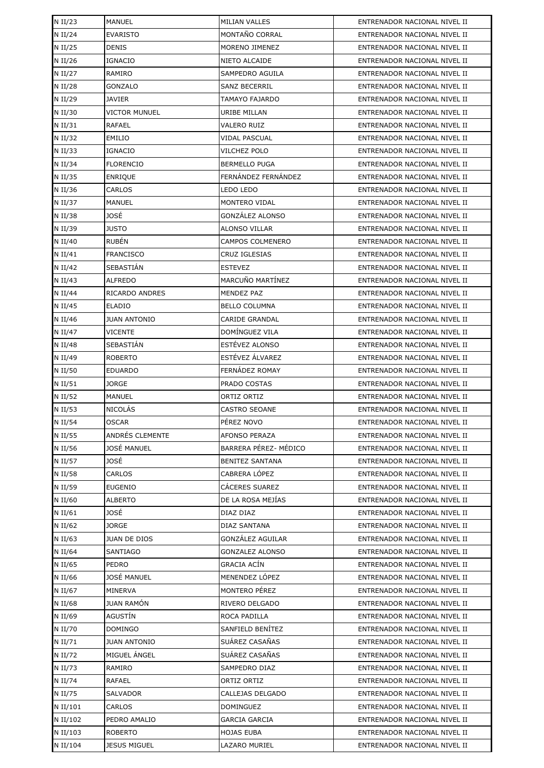| N II/23   | <b>MANUEL</b>       | <b>MILIAN VALLES</b>    | ENTRENADOR NACIONAL NIVEL II |
|-----------|---------------------|-------------------------|------------------------------|
| N II/24   | <b>EVARISTO</b>     | MONTAÑO CORRAL          | ENTRENADOR NACIONAL NIVEL II |
| N II/25   | <b>DENIS</b>        | MORENO JIMENEZ          | ENTRENADOR NACIONAL NIVEL II |
| N II/26   | <b>IGNACIO</b>      | NIETO ALCAIDE           | ENTRENADOR NACIONAL NIVEL II |
| N II/27   | RAMIRO              | SAMPEDRO AGUILA         | ENTRENADOR NACIONAL NIVEL II |
| N II/28   | GONZALO             | <b>SANZ BECERRIL</b>    | ENTRENADOR NACIONAL NIVEL II |
| N II/29   | JAVIER              | TAMAYO FAJARDO          | ENTRENADOR NACIONAL NIVEL II |
| N II/30   | VICTOR MUNUEL       | URIBE MILLAN            | ENTRENADOR NACIONAL NIVEL II |
| $N$ II/31 | <b>RAFAEL</b>       | VALERO RUIZ             | ENTRENADOR NACIONAL NIVEL II |
| N II/32   | EMILIO              | <b>VIDAL PASCUAL</b>    | ENTRENADOR NACIONAL NIVEL II |
| N II/33   | <b>IGNACIO</b>      | VILCHEZ POLO            | ENTRENADOR NACIONAL NIVEL II |
| N II/34   | <b>FLORENCIO</b>    | <b>BERMELLO PUGA</b>    | ENTRENADOR NACIONAL NIVEL II |
| N II/35   | <b>ENRIQUE</b>      | FERNANDEZ FERNANDEZ     | ENTRENADOR NACIONAL NIVEL II |
| N II/36   | CARLOS              | LEDO LEDO               | ENTRENADOR NACIONAL NIVEL II |
| N II/37   | <b>MANUEL</b>       | MONTERO VIDAL           | ENTRENADOR NACIONAL NIVEL II |
| N II/38   | JOSÉ                | GONZÁLEZ ALONSO         | ENTRENADOR NACIONAL NIVEL II |
| N II/39   | <b>JUSTO</b>        | <b>ALONSO VILLAR</b>    | ENTRENADOR NACIONAL NIVEL II |
| N II/40   | <b>RUBÉN</b>        | <b>CAMPOS COLMENERO</b> | ENTRENADOR NACIONAL NIVEL II |
| N II/41   | <b>FRANCISCO</b>    | CRUZ IGLESIAS           | ENTRENADOR NACIONAL NIVEL II |
| N II/42   | SEBASTIÁN           | <b>ESTEVEZ</b>          | ENTRENADOR NACIONAL NIVEL II |
| N II/43   | <b>ALFREDO</b>      | MARCUÑO MARTÍNEZ        | ENTRENADOR NACIONAL NIVEL II |
| N II/44   | RICARDO ANDRES      | <b>MENDEZ PAZ</b>       | ENTRENADOR NACIONAL NIVEL II |
| N II/45   | <b>ELADIO</b>       | <b>BELLO COLUMNA</b>    | ENTRENADOR NACIONAL NIVEL II |
| N II/46   | <b>JUAN ANTONIO</b> | <b>CARIDE GRANDAL</b>   | ENTRENADOR NACIONAL NIVEL II |
| N II/47   | <b>VICENTE</b>      | DOMÍNGUEZ VILA          | ENTRENADOR NACIONAL NIVEL II |
| N II/48   | SEBASTIÁN           | ESTÉVEZ ALONSO          | ENTRENADOR NACIONAL NIVEL II |
| N II/49   | <b>ROBERTO</b>      | ESTÉVEZ ÁLVAREZ         | ENTRENADOR NACIONAL NIVEL II |
| N II/50   | <b>EDUARDO</b>      | FERNÁDEZ ROMAY          | ENTRENADOR NACIONAL NIVEL II |
| N II/51   | JORGE               | PRADO COSTAS            | ENTRENADOR NACIONAL NIVEL II |
| N II/52   | MANUEL              | ORTIZ ORTIZ             | ENTRENADOR NACIONAL NIVEL II |
| N II/53   | <b>NICOLÁS</b>      | <b>CASTRO SEOANE</b>    | ENTRENADOR NACIONAL NIVEL II |
| N II/54   | <b>OSCAR</b>        | PÉREZ NOVO              | ENTRENADOR NACIONAL NIVEL II |
| N II/55   | ANDRÉS CLEMENTE     | <b>AFONSO PERAZA</b>    | ENTRENADOR NACIONAL NIVEL II |
| N II/56   | JOSÉ MANUEL         | BARRERA PÉREZ- MÉDICO   | ENTRENADOR NACIONAL NIVEL II |
| N II/57   | JOSÉ                | <b>BENITEZ SANTANA</b>  | ENTRENADOR NACIONAL NIVEL II |
| N II/58   | CARLOS              | CABRERA LÓPEZ           | ENTRENADOR NACIONAL NIVEL II |
| N II/59   | <b>EUGENIO</b>      | CÁCERES SUAREZ          | ENTRENADOR NACIONAL NIVEL II |
| N II/60   | <b>ALBERTO</b>      | DE LA ROSA MEJÍAS       | ENTRENADOR NACIONAL NIVEL II |
| N II/61   | JOSÉ                | DIAZ DIAZ               | ENTRENADOR NACIONAL NIVEL II |
| N II/62   | JORGE               | <b>DIAZ SANTANA</b>     | ENTRENADOR NACIONAL NIVEL II |
| N II/63   | JUAN DE DIOS        | GONZÁLEZ AGUILAR        | ENTRENADOR NACIONAL NIVEL II |
| N II/64   | SANTIAGO            | <b>GONZALEZ ALONSO</b>  | ENTRENADOR NACIONAL NIVEL II |
| N II/65   | PEDRO               | GRACIA ACÍN             | ENTRENADOR NACIONAL NIVEL II |
| N II/66   | JOSÉ MANUEL         | MENENDEZ LÓPEZ          | ENTRENADOR NACIONAL NIVEL II |
| N II/67   | MINERVA             | MONTERO PÉREZ           | ENTRENADOR NACIONAL NIVEL II |
| N II/68   | JUAN RAMÓN          | RIVERO DELGADO          | ENTRENADOR NACIONAL NIVEL II |
| N II/69   | AGUSTÍN             | ROCA PADILLA            | ENTRENADOR NACIONAL NIVEL II |
| N II/70   | <b>DOMINGO</b>      | SANFIELD BENÍTEZ        | ENTRENADOR NACIONAL NIVEL II |
| N II/71   | <b>JUAN ANTONIO</b> | SUÁREZ CASAÑAS          | ENTRENADOR NACIONAL NIVEL II |
| N II/72   | MIGUEL ANGEL        | SUÁREZ CASAÑAS          | ENTRENADOR NACIONAL NIVEL II |
| N II/73   | RAMIRO              | SAMPEDRO DIAZ           | ENTRENADOR NACIONAL NIVEL II |
| N II/74   | RAFAEL              | ORTIZ ORTIZ             | ENTRENADOR NACIONAL NIVEL II |
| N II/75   | SALVADOR            | CALLEJAS DELGADO        | ENTRENADOR NACIONAL NIVEL II |
| N II/101  | CARLOS              | DOMINGUEZ               | ENTRENADOR NACIONAL NIVEL II |
| N II/102  | PEDRO AMALIO        | <b>GARCIA GARCIA</b>    | ENTRENADOR NACIONAL NIVEL II |
| N II/103  | <b>ROBERTO</b>      | <b>HOJAS EUBA</b>       | ENTRENADOR NACIONAL NIVEL II |
| N II/104  | <b>JESUS MIGUEL</b> | LAZARO MURIEL           | ENTRENADOR NACIONAL NIVEL II |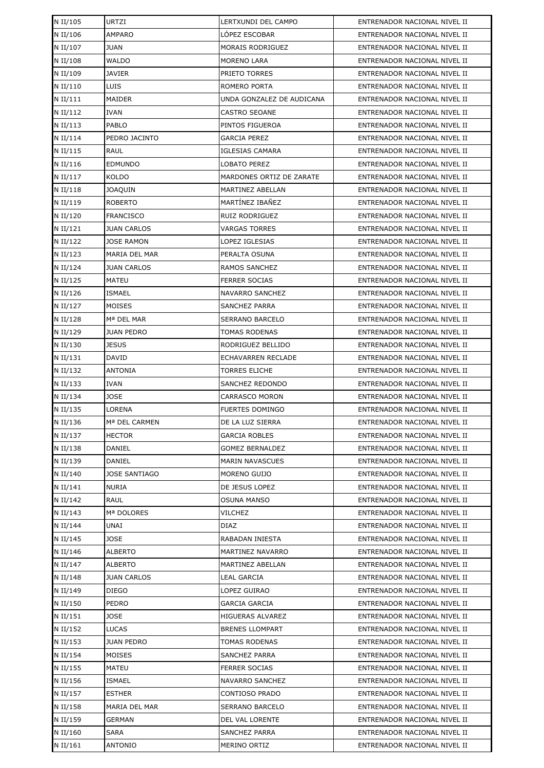| N II/105 | <b>URTZI</b>         | LERTXUNDI DEL CAMPO       | ENTRENADOR NACIONAL NIVEL II |
|----------|----------------------|---------------------------|------------------------------|
| N II/106 | <b>AMPARO</b>        | LOPEZ ESCOBAR             | ENTRENADOR NACIONAL NIVEL II |
| N II/107 | <b>JUAN</b>          | MORAIS RODRIGUEZ          | ENTRENADOR NACIONAL NIVEL II |
| N II/108 | <b>WALDO</b>         | MORENO LARA               | ENTRENADOR NACIONAL NIVEL II |
| N II/109 | <b>JAVIER</b>        | PRIETO TORRES             | ENTRENADOR NACIONAL NIVEL II |
| N II/110 | LUIS                 | ROMERO PORTA              | ENTRENADOR NACIONAL NIVEL II |
| N II/111 | MAIDER               | UNDA GONZALEZ DE AUDICANA | ENTRENADOR NACIONAL NIVEL II |
| N II/112 | <b>IVAN</b>          | <b>CASTRO SEOANE</b>      | ENTRENADOR NACIONAL NIVEL II |
| N II/113 | <b>PABLO</b>         | PINTOS FIGUEROA           | ENTRENADOR NACIONAL NIVEL II |
| N II/114 | PEDRO JACINTO        | <b>GARCIA PEREZ</b>       | ENTRENADOR NACIONAL NIVEL II |
| N II/115 | <b>RAUL</b>          | <b>IGLESIAS CAMARA</b>    | ENTRENADOR NACIONAL NIVEL II |
| N II/116 | <b>EDMUNDO</b>       | LOBATO PEREZ              | ENTRENADOR NACIONAL NIVEL II |
| N II/117 | <b>KOLDO</b>         | MARDONES ORTIZ DE ZARATE  | ENTRENADOR NACIONAL NIVEL II |
| N II/118 | <b>JOAQUIN</b>       | MARTINEZ ABELLAN          | ENTRENADOR NACIONAL NIVEL II |
| N II/119 | <b>ROBERTO</b>       | MARTÍNEZ IBAÑEZ           | ENTRENADOR NACIONAL NIVEL II |
| N II/120 | <b>FRANCISCO</b>     | <b>RUIZ RODRIGUEZ</b>     | ENTRENADOR NACIONAL NIVEL II |
| N II/121 | <b>JUAN CARLOS</b>   | <b>VARGAS TORRES</b>      | ENTRENADOR NACIONAL NIVEL II |
| N II/122 | <b>JOSE RAMON</b>    | LOPEZ IGLESIAS            | ENTRENADOR NACIONAL NIVEL II |
| N II/123 | MARIA DEL MAR        | PERALTA OSUNA             | ENTRENADOR NACIONAL NIVEL II |
| N II/124 | <b>JUAN CARLOS</b>   | RAMOS SANCHEZ             | ENTRENADOR NACIONAL NIVEL II |
| N II/125 | MATEU                | <b>FERRER SOCIAS</b>      | ENTRENADOR NACIONAL NIVEL II |
| N II/126 | <b>ISMAEL</b>        | NAVARRO SANCHEZ           | ENTRENADOR NACIONAL NIVEL II |
| N II/127 | MOISES               | <b>SANCHEZ PARRA</b>      | ENTRENADOR NACIONAL NIVEL II |
| N II/128 | Mª DEL MAR           | <b>SERRANO BARCELO</b>    | ENTRENADOR NACIONAL NIVEL II |
| N II/129 | <b>JUAN PEDRO</b>    | <b>TOMAS RODENAS</b>      | ENTRENADOR NACIONAL NIVEL II |
| N II/130 | <b>JESUS</b>         | RODRIGUEZ BELLIDO         | ENTRENADOR NACIONAL NIVEL II |
| N II/131 | DAVID                | ECHAVARREN RECLADE        | ENTRENADOR NACIONAL NIVEL II |
| N II/132 | <b>ANTONIA</b>       | <b>TORRES ELICHE</b>      | ENTRENADOR NACIONAL NIVEL II |
| N II/133 | IVAN                 | SANCHEZ REDONDO           | ENTRENADOR NACIONAL NIVEL II |
| N II/134 | <b>JOSE</b>          | <b>CARRASCO MORON</b>     | ENTRENADOR NACIONAL NIVEL II |
| N II/135 | <b>LORENA</b>        | <b>FUERTES DOMINGO</b>    | ENTRENADOR NACIONAL NIVEL II |
| N II/136 | Mª DEL CARMEN        | DE LA LUZ SIERRA          | ENTRENADOR NACIONAL NIVEL II |
| N II/137 | <b>HECTOR</b>        | <b>GARCIA ROBLES</b>      | ENTRENADOR NACIONAL NIVEL II |
| N II/138 | DANIEL               | <b>GOMEZ BERNALDEZ</b>    | ENTRENADOR NACIONAL NIVEL II |
| N II/139 | DANIEL               | <b>MARIN NAVASCUES</b>    | ENTRENADOR NACIONAL NIVEL II |
| N II/140 | <b>JOSE SANTIAGO</b> | MORENO GUIJO              | ENTRENADOR NACIONAL NIVEL II |
| N II/141 | NURIA                | DE JESUS LOPEZ            | ENTRENADOR NACIONAL NIVEL II |
| N II/142 | RAUL                 | OSUNA MANSO               | ENTRENADOR NACIONAL NIVEL II |
| N II/143 | Mª DOLORES           | VILCHEZ                   | ENTRENADOR NACIONAL NIVEL II |
| N II/144 | UNAI                 | DIAZ                      | ENTRENADOR NACIONAL NIVEL II |
| N II/145 | <b>JOSE</b>          | RABADAN INIESTA           | ENTRENADOR NACIONAL NIVEL II |
| N II/146 | ALBERTO              | MARTINEZ NAVARRO          | ENTRENADOR NACIONAL NIVEL II |
| N II/147 | ALBERTO              | MARTINEZ ABELLAN          | ENTRENADOR NACIONAL NIVEL II |
| N II/148 | <b>JUAN CARLOS</b>   | LEAL GARCIA               | ENTRENADOR NACIONAL NIVEL II |
| N II/149 | DIEGO                | LOPEZ GUIRAO              | ENTRENADOR NACIONAL NIVEL II |
| N II/150 | PEDRO                | GARCIA GARCIA             | ENTRENADOR NACIONAL NIVEL II |
| N II/151 | <b>JOSE</b>          | HIGUERAS ALVAREZ          | ENTRENADOR NACIONAL NIVEL II |
| N II/152 | <b>LUCAS</b>         | <b>BRENES LLOMPART</b>    | ENTRENADOR NACIONAL NIVEL II |
| N II/153 | <b>JUAN PEDRO</b>    | TOMAS RODENAS             | ENTRENADOR NACIONAL NIVEL II |
| N II/154 | MOISES               | SANCHEZ PARRA             | ENTRENADOR NACIONAL NIVEL II |
| N II/155 | MATEU                | FERRER SOCIAS             | ENTRENADOR NACIONAL NIVEL II |
| N II/156 | <b>ISMAEL</b>        | NAVARRO SANCHEZ           | ENTRENADOR NACIONAL NIVEL II |
| N II/157 | <b>ESTHER</b>        | CONTIOSO PRADO            | ENTRENADOR NACIONAL NIVEL II |
| N II/158 | MARIA DEL MAR        | SERRANO BARCELO           | ENTRENADOR NACIONAL NIVEL II |
| N II/159 | <b>GERMAN</b>        | DEL VAL LORENTE           | ENTRENADOR NACIONAL NIVEL II |
| N II/160 | <b>SARA</b>          | SANCHEZ PARRA             | ENTRENADOR NACIONAL NIVEL II |
| N II/161 | <b>ANTONIO</b>       | MERINO ORTIZ              | ENTRENADOR NACIONAL NIVEL II |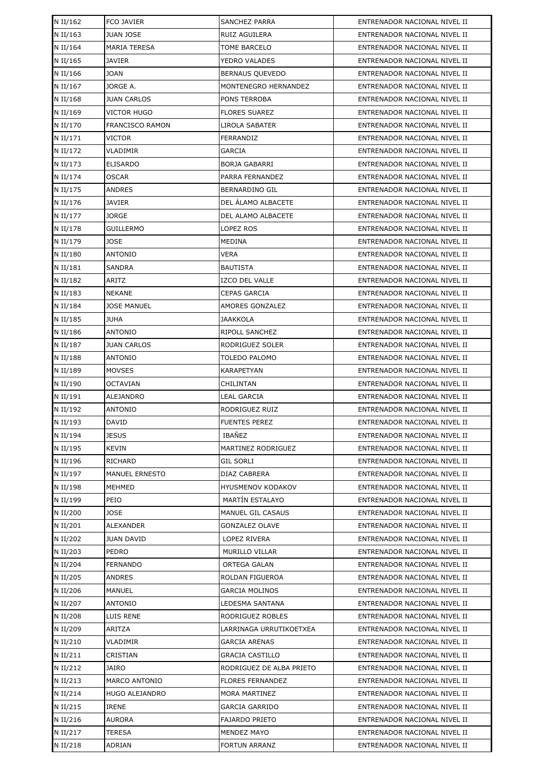| N II/162             | FCO JAVIER             | <b>SANCHEZ PARRA</b>                    | ENTRENADOR NACIONAL NIVEL II                                 |
|----------------------|------------------------|-----------------------------------------|--------------------------------------------------------------|
| N II/163             | <b>JUAN JOSE</b>       | RUIZ AGUILERA                           | ENTRENADOR NACIONAL NIVEL II                                 |
| N II/164             | <b>MARIA TERESA</b>    | <b>TOME BARCELO</b>                     | ENTRENADOR NACIONAL NIVEL II                                 |
| N II/165             | <b>JAVIER</b>          | YEDRO VALADES                           | ENTRENADOR NACIONAL NIVEL II                                 |
| N II/166             | <b>JOAN</b>            | <b>BERNAUS QUEVEDO</b>                  | ENTRENADOR NACIONAL NIVEL II                                 |
| N II/167             | JORGE A.               | MONTENEGRO HERNANDEZ                    | ENTRENADOR NACIONAL NIVEL II                                 |
| N II/168             | <b>JUAN CARLOS</b>     | PONS TERROBA                            | ENTRENADOR NACIONAL NIVEL II                                 |
| N II/169             | <b>VICTOR HUGO</b>     | <b>FLORES SUAREZ</b>                    | ENTRENADOR NACIONAL NIVEL II                                 |
| N II/170             | <b>FRANCISCO RAMON</b> | LIROLA SABATER                          | ENTRENADOR NACIONAL NIVEL II                                 |
| N II/171             | <b>VICTOR</b>          | FERRANDIZ                               | ENTRENADOR NACIONAL NIVEL II                                 |
| N II/172             | <b>VLADIMIR</b>        | GARCIA                                  | ENTRENADOR NACIONAL NIVEL II                                 |
| N II/173             | <b>ELISARDO</b>        | <b>BORJA GABARRI</b>                    | ENTRENADOR NACIONAL NIVEL II                                 |
| N II/174             | <b>OSCAR</b>           | PARRA FERNANDEZ                         | ENTRENADOR NACIONAL NIVEL II                                 |
| N II/175             | <b>ANDRES</b>          | BERNARDINO GIL                          | ENTRENADOR NACIONAL NIVEL II                                 |
| N II/176             | <b>JAVIER</b>          | DEL ÁLAMO ALBACETE                      | ENTRENADOR NACIONAL NIVEL II                                 |
| N II/177             | <b>JORGE</b>           | DEL ALAMO ALBACETE                      | ENTRENADOR NACIONAL NIVEL II                                 |
| N II/178             | <b>GUILLERMO</b>       | LOPEZ ROS                               | ENTRENADOR NACIONAL NIVEL II                                 |
| N II/179             | <b>JOSE</b>            | MEDINA                                  | ENTRENADOR NACIONAL NIVEL II                                 |
| N II/180             | <b>ANTONIO</b>         | VERA                                    | ENTRENADOR NACIONAL NIVEL II                                 |
| N II/181             | <b>SANDRA</b>          | <b>BAUTISTA</b>                         | ENTRENADOR NACIONAL NIVEL II                                 |
| N II/182             | ARITZ                  | <b>IZCO DEL VALLE</b>                   | ENTRENADOR NACIONAL NIVEL II                                 |
| N II/183             | <b>NEKANE</b>          | <b>CEPAS GARCIA</b>                     | ENTRENADOR NACIONAL NIVEL II                                 |
| N II/184             | <b>JOSE MANUEL</b>     | AMORES GONZALEZ                         | ENTRENADOR NACIONAL NIVEL II                                 |
| N II/185             | <b>JUHA</b>            | JAAKKOLA                                | ENTRENADOR NACIONAL NIVEL II                                 |
| N II/186             | <b>ANTONIO</b>         | RIPOLL SANCHEZ                          | ENTRENADOR NACIONAL NIVEL II                                 |
| N II/187             | <b>JUAN CARLOS</b>     | RODRIGUEZ SOLER                         | ENTRENADOR NACIONAL NIVEL II                                 |
| N II/188             | <b>ANTONIO</b>         | TOLEDO PALOMO                           | ENTRENADOR NACIONAL NIVEL II                                 |
| N II/189             | <b>MOVSES</b>          | KARAPETYAN                              | ENTRENADOR NACIONAL NIVEL II                                 |
| N II/190             | <b>OCTAVIAN</b>        | CHILINTAN                               | ENTRENADOR NACIONAL NIVEL II                                 |
| N II/191             | <b>ALEJANDRO</b>       | <b>LEAL GARCIA</b>                      | ENTRENADOR NACIONAL NIVEL II                                 |
| N II/192             | <b>ANTONIO</b>         | RODRIGUEZ RUIZ                          | ENTRENADOR NACIONAL NIVEL II                                 |
| N II/193             | <b>DAVID</b>           | <b>FUENTES PEREZ</b>                    | ENTRENADOR NACIONAL NIVEL II                                 |
| N II/194             | <b>JESUS</b>           | <b>IBAÑEZ</b>                           | ENTRENADOR NACIONAL NIVEL II                                 |
| N II/195             | <b>KEVIN</b>           | MARTINEZ RODRIGUEZ                      | ENTRENADOR NACIONAL NIVEL II                                 |
| N II/196             | RICHARD                | <b>GIL SORLI</b>                        | ENTRENADOR NACIONAL NIVEL II                                 |
| N II/197             | MANUEL ERNESTO         | DIAZ CABRERA                            | ENTRENADOR NACIONAL NIVEL II                                 |
| N II/198             | MEHMED                 | HYUSMENOV KODAKOV                       | ENTRENADOR NACIONAL NIVEL II                                 |
| N II/199             | PEIO                   | MARTÍN ESTALAYO                         | ENTRENADOR NACIONAL NIVEL II                                 |
| N II/200             | <b>JOSE</b>            | <b>MANUEL GIL CASAUS</b>                | ENTRENADOR NACIONAL NIVEL II                                 |
| N II/201             | <b>ALEXANDER</b>       | <b>GONZALEZ OLAVE</b>                   | ENTRENADOR NACIONAL NIVEL II                                 |
| N II/202             | <b>JUAN DAVID</b>      | LOPEZ RIVERA                            | ENTRENADOR NACIONAL NIVEL II                                 |
| N II/203             | PEDRO                  | MURILLO VILLAR                          | ENTRENADOR NACIONAL NIVEL II                                 |
| N II/204             | <b>FERNANDO</b>        | ORTEGA GALAN                            | ENTRENADOR NACIONAL NIVEL II                                 |
| N II/205             | ANDRES                 | ROLDAN FIGUEROA                         | ENTRENADOR NACIONAL NIVEL II                                 |
| N II/206             | MANUEL                 | <b>GARCIA MOLINOS</b>                   | ENTRENADOR NACIONAL NIVEL II                                 |
| N II/207             | ANTONIO                | LEDESMA SANTANA                         | ENTRENADOR NACIONAL NIVEL II                                 |
| N II/208             | LUIS RENE<br>ARITZA    | RODRIGUEZ ROBLES                        | ENTRENADOR NACIONAL NIVEL II                                 |
| N II/209             |                        | LARRINAGA URRUTIKOETXEA                 | ENTRENADOR NACIONAL NIVEL II                                 |
| N II/210<br>N II/211 | VLADIMIR<br>CRISTIAN   | GARCIA ARENAS<br><b>GRACIA CASTILLO</b> | ENTRENADOR NACIONAL NIVEL II<br>ENTRENADOR NACIONAL NIVEL II |
| N II/212             | <b>JAIRO</b>           | RODRIGUEZ DE ALBA PRIETO                | ENTRENADOR NACIONAL NIVEL II                                 |
| N II/213             | <b>MARCO ANTONIO</b>   | <b>FLORES FERNANDEZ</b>                 | ENTRENADOR NACIONAL NIVEL II                                 |
| N II/214             | HUGO ALEJANDRO         | <b>MORA MARTINEZ</b>                    | ENTRENADOR NACIONAL NIVEL II                                 |
| N II/215             | <b>IRENE</b>           | GARCIA GARRIDO                          | ENTRENADOR NACIONAL NIVEL II                                 |
| N II/216             | <b>AURORA</b>          | FAJARDO PRIETO                          | ENTRENADOR NACIONAL NIVEL II                                 |
| N II/217             | <b>TERESA</b>          | <b>MENDEZ MAYO</b>                      | ENTRENADOR NACIONAL NIVEL II                                 |
| N II/218             | ADRIAN                 | <b>FORTUN ARRANZ</b>                    | ENTRENADOR NACIONAL NIVEL II                                 |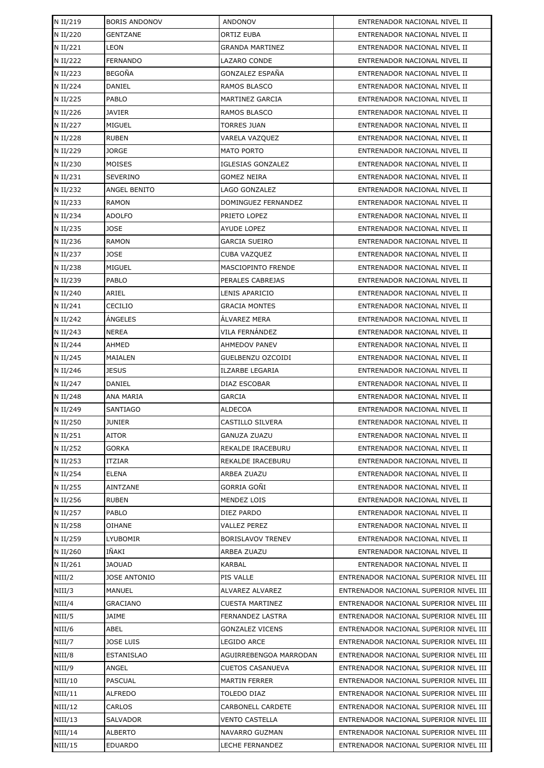| N II/219          | <b>BORIS ANDONOV</b>                  | <b>ANDONOV</b>                                  | ENTRENADOR NACIONAL NIVEL II                                                     |
|-------------------|---------------------------------------|-------------------------------------------------|----------------------------------------------------------------------------------|
| N II/220          | <b>GENTZANE</b>                       | ORTIZ EUBA                                      | ENTRENADOR NACIONAL NIVEL II                                                     |
| N II/221          | <b>LEON</b>                           | <b>GRANDA MARTINEZ</b>                          | ENTRENADOR NACIONAL NIVEL II                                                     |
| N II/222          | <b>FERNANDO</b>                       | LAZARO CONDE                                    | ENTRENADOR NACIONAL NIVEL II                                                     |
| N II/223          | <b>BEGOÑA</b>                         | GONZALEZ ESPAÑA                                 | ENTRENADOR NACIONAL NIVEL II                                                     |
| N II/224          | DANIEL                                | RAMOS BLASCO                                    | ENTRENADOR NACIONAL NIVEL II                                                     |
| N II/225          | <b>PABLO</b>                          | <b>MARTINEZ GARCIA</b>                          | ENTRENADOR NACIONAL NIVEL II                                                     |
| N II/226          | <b>JAVIER</b>                         | RAMOS BLASCO                                    | ENTRENADOR NACIONAL NIVEL II                                                     |
| N II/227          | <b>MIGUEL</b>                         | <b>TORRES JUAN</b>                              | ENTRENADOR NACIONAL NIVEL II                                                     |
| N II/228          | <b>RUBEN</b>                          | VARELA VAZQUEZ                                  | ENTRENADOR NACIONAL NIVEL II                                                     |
| N II/229          | <b>JORGE</b>                          | <b>MATO PORTO</b>                               | ENTRENADOR NACIONAL NIVEL II                                                     |
| N II/230          | MOISES                                | <b>IGLESIAS GONZALEZ</b>                        | ENTRENADOR NACIONAL NIVEL II                                                     |
| N II/231          | <b>SEVERINO</b>                       | GOMEZ NEIRA                                     | ENTRENADOR NACIONAL NIVEL II                                                     |
| N II/232          | ANGEL BENITO                          | LAGO GONZALEZ                                   | ENTRENADOR NACIONAL NIVEL II                                                     |
| N II/233          | <b>RAMON</b>                          | DOMINGUEZ FERNANDEZ                             | ENTRENADOR NACIONAL NIVEL II                                                     |
| N II/234          | <b>ADOLFO</b>                         | PRIETO LOPEZ                                    | ENTRENADOR NACIONAL NIVEL II                                                     |
| N II/235          | <b>JOSE</b>                           | <b>AYUDE LOPEZ</b>                              | ENTRENADOR NACIONAL NIVEL II                                                     |
| N II/236          | <b>RAMON</b>                          | <b>GARCIA SUEIRO</b>                            | ENTRENADOR NACIONAL NIVEL II                                                     |
| N II/237          | <b>JOSE</b>                           | CUBA VAZQUEZ                                    | ENTRENADOR NACIONAL NIVEL II                                                     |
| N II/238          | MIGUEL                                | MASCIOPINTO FRENDE                              | ENTRENADOR NACIONAL NIVEL II                                                     |
| N II/239          | PABLO                                 | PERALES CABREJAS                                | ENTRENADOR NACIONAL NIVEL II                                                     |
| N II/240          | ARIEL                                 | LENIS APARICIO                                  | ENTRENADOR NACIONAL NIVEL II                                                     |
| N II/241          | CECILIO                               | <b>GRACIA MONTES</b>                            | ENTRENADOR NACIONAL NIVEL II                                                     |
| N II/242          | ÁNGELES                               | ÁLVAREZ MERA                                    | ENTRENADOR NACIONAL NIVEL II                                                     |
| N II/243          | <b>NEREA</b>                          | VILA FERNÁNDEZ                                  | ENTRENADOR NACIONAL NIVEL II                                                     |
| N II/244          | AHMED                                 | <b>AHMEDOV PANEV</b>                            | ENTRENADOR NACIONAL NIVEL II                                                     |
| N II/245          | MAIALEN                               | GUELBENZU OZCOIDI                               | ENTRENADOR NACIONAL NIVEL II                                                     |
| N II/246          | <b>JESUS</b>                          | <b>ILZARBE LEGARIA</b>                          | ENTRENADOR NACIONAL NIVEL II                                                     |
| N II/247          | <b>DANIEL</b>                         | DIAZ ESCOBAR                                    | ENTRENADOR NACIONAL NIVEL II                                                     |
| N II/248          | ANA MARIA                             | GARCIA                                          | ENTRENADOR NACIONAL NIVEL II                                                     |
| N II/249          | <b>SANTIAGO</b>                       | <b>ALDECOA</b>                                  | ENTRENADOR NACIONAL NIVEL II                                                     |
| N II/250          | <b>JUNIER</b>                         | CASTILLO SILVERA                                | ENTRENADOR NACIONAL NIVEL II                                                     |
| N II/251          | AITOR                                 | GANUZA ZUAZU                                    | ENTRENADOR NACIONAL NIVEL II                                                     |
| N II/252          | <b>GORKA</b>                          | REKALDE IRACEBURU                               | ENTRENADOR NACIONAL NIVEL II                                                     |
| N II/253          | ITZIAR                                | REKALDE IRACEBURU                               | ENTRENADOR NACIONAL NIVEL II                                                     |
| N II/254          | ELENA                                 | ARBEA ZUAZU                                     | ENTRENADOR NACIONAL NIVEL II                                                     |
| N II/255          | AINTZANE                              | GORRIA GOÑI                                     | ENTRENADOR NACIONAL NIVEL II                                                     |
| N II/256          | <b>RUBEN</b>                          | MENDEZ LOIS                                     | ENTRENADOR NACIONAL NIVEL II                                                     |
| N II/257          | PABLO                                 | DIEZ PARDO                                      | ENTRENADOR NACIONAL NIVEL II                                                     |
| N II/258          | OIHANE                                | VALLEZ PEREZ                                    | ENTRENADOR NACIONAL NIVEL II                                                     |
| N II/259          | LYUBOMIR                              | <b>BORISLAVOV TRENEV</b>                        | ENTRENADOR NACIONAL NIVEL II                                                     |
| N II/260          | IÑAKI                                 | ARBEA ZUAZU                                     | ENTRENADOR NACIONAL NIVEL II                                                     |
| N II/261          | <b>JAOUAD</b>                         | KARBAL                                          | ENTRENADOR NACIONAL NIVEL II                                                     |
| NIII/2            | <b>JOSE ANTONIO</b>                   | PIS VALLE                                       | ENTRENADOR NACIONAL SUPERIOR NIVEL III                                           |
| NIII/3            | MANUEL                                | ALVAREZ ALVAREZ                                 | ENTRENADOR NACIONAL SUPERIOR NIVEL III                                           |
| NIII/4            | <b>GRACIANO</b>                       | CUESTA MARTINEZ                                 | ENTRENADOR NACIONAL SUPERIOR NIVEL III                                           |
| NIII/5            | JAIME                                 | FERNANDEZ LASTRA                                | ENTRENADOR NACIONAL SUPERIOR NIVEL III                                           |
| NIII/6            | ABEL                                  | GONZALEZ VICENS                                 | ENTRENADOR NACIONAL SUPERIOR NIVEL III                                           |
| NIII/7<br>NIII/8  | <b>JOSE LUIS</b><br><b>ESTANISLAO</b> | LEGIDO ARCE<br>AGUIRREBENGOA MARRODAN           | ENTRENADOR NACIONAL SUPERIOR NIVEL III<br>ENTRENADOR NACIONAL SUPERIOR NIVEL III |
|                   |                                       |                                                 |                                                                                  |
| NIII/9<br>NIII/10 | ANGEL<br>PASCUAL                      | <b>CUETOS CASANUEVA</b><br><b>MARTIN FERRER</b> | ENTRENADOR NACIONAL SUPERIOR NIVEL III<br>ENTRENADOR NACIONAL SUPERIOR NIVEL III |
| NIII/11           | <b>ALFREDO</b>                        | TOLEDO DIAZ                                     | ENTRENADOR NACIONAL SUPERIOR NIVEL III                                           |
| NIII/12           | CARLOS                                | CARBONELL CARDETE                               | ENTRENADOR NACIONAL SUPERIOR NIVEL III                                           |
| NIII/13           | <b>SALVADOR</b>                       | VENTO CASTELLA                                  | ENTRENADOR NACIONAL SUPERIOR NIVEL III                                           |
| NIII/14           | ALBERTO                               | NAVARRO GUZMAN                                  | ENTRENADOR NACIONAL SUPERIOR NIVEL III                                           |
| NIII/15           | <b>EDUARDO</b>                        | LECHE FERNANDEZ                                 | ENTRENADOR NACIONAL SUPERIOR NIVEL III                                           |
|                   |                                       |                                                 |                                                                                  |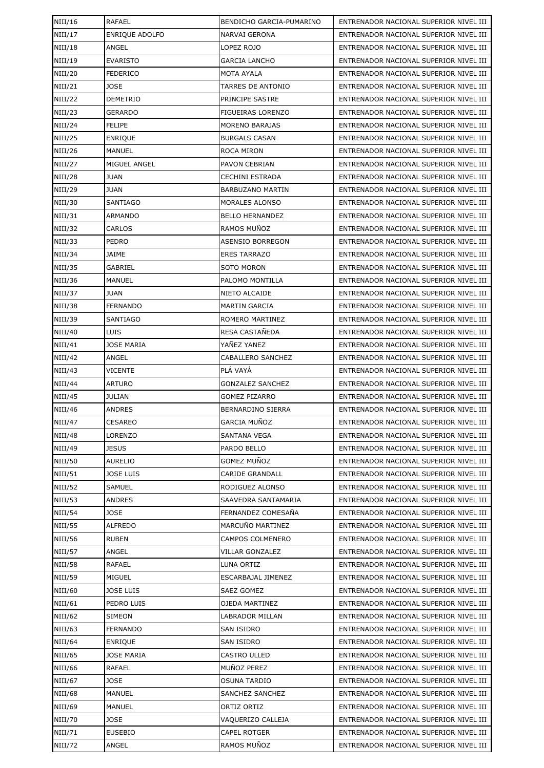| NIII/16        | <b>RAFAEL</b>         | BENDICHO GARCIA-PUMARINO | ENTRENADOR NACIONAL SUPERIOR NIVEL III |
|----------------|-----------------------|--------------------------|----------------------------------------|
| NIII/17        | <b>ENRIQUE ADOLFO</b> | NARVAI GERONA            | ENTRENADOR NACIONAL SUPERIOR NIVEL III |
| NIII/18        | ANGEL                 | LOPEZ ROJO               | ENTRENADOR NACIONAL SUPERIOR NIVEL III |
| NIII/19        | <b>EVARISTO</b>       | <b>GARCIA LANCHO</b>     | ENTRENADOR NACIONAL SUPERIOR NIVEL III |
| NIII/20        | <b>FEDERICO</b>       | MOTA AYALA               | ENTRENADOR NACIONAL SUPERIOR NIVEL III |
| NIII/21        | <b>JOSE</b>           | TARRES DE ANTONIO        | ENTRENADOR NACIONAL SUPERIOR NIVEL III |
| NIII/22        | <b>DEMETRIO</b>       | PRINCIPE SASTRE          | ENTRENADOR NACIONAL SUPERIOR NIVEL III |
| NIII/23        | <b>GERARDO</b>        | FIGUEIRAS LORENZO        | ENTRENADOR NACIONAL SUPERIOR NIVEL III |
| NIII/24        | <b>FELIPE</b>         | <b>MORENO BARAJAS</b>    | ENTRENADOR NACIONAL SUPERIOR NIVEL III |
| NIII/25        | <b>ENRIQUE</b>        | <b>BURGALS CASAN</b>     | ENTRENADOR NACIONAL SUPERIOR NIVEL III |
| NIII/26        | MANUEL                | ROCA MIRON               | ENTRENADOR NACIONAL SUPERIOR NIVEL III |
| NIII/27        | MIGUEL ANGEL          | PAVON CEBRIAN            | ENTRENADOR NACIONAL SUPERIOR NIVEL III |
| NIII/28        | JUAN                  | CECHINI ESTRADA          | ENTRENADOR NACIONAL SUPERIOR NIVEL III |
| NIII/29        | <b>JUAN</b>           | <b>BARBUZANO MARTIN</b>  | ENTRENADOR NACIONAL SUPERIOR NIVEL III |
| NIII/30        | <b>SANTIAGO</b>       | MORALES ALONSO           | ENTRENADOR NACIONAL SUPERIOR NIVEL III |
| NIII/31        | <b>ARMANDO</b>        | <b>BELLO HERNANDEZ</b>   | ENTRENADOR NACIONAL SUPERIOR NIVEL III |
| NIII/32        | CARLOS                | RAMOS MUÑOZ              | ENTRENADOR NACIONAL SUPERIOR NIVEL III |
| NIII/33        | PEDRO                 | ASENSIO BORREGON         | ENTRENADOR NACIONAL SUPERIOR NIVEL III |
| NIII/34        | <b>JAIME</b>          | <b>ERES TARRAZO</b>      | ENTRENADOR NACIONAL SUPERIOR NIVEL III |
| NIII/35        | GABRIEL               | SOTO MORON               | ENTRENADOR NACIONAL SUPERIOR NIVEL III |
| NIII/36        | <b>MANUEL</b>         | PALOMO MONTILLA          | ENTRENADOR NACIONAL SUPERIOR NIVEL III |
| NIII/37        | <b>JUAN</b>           | NIETO ALCAIDE            | ENTRENADOR NACIONAL SUPERIOR NIVEL III |
| NIII/38        | <b>FERNANDO</b>       | <b>MARTIN GARCIA</b>     | ENTRENADOR NACIONAL SUPERIOR NIVEL III |
| NIII/39        | <b>SANTIAGO</b>       | ROMERO MARTINEZ          | ENTRENADOR NACIONAL SUPERIOR NIVEL III |
| NIII/40        | LUIS                  | RESA CASTAÑEDA           | ENTRENADOR NACIONAL SUPERIOR NIVEL III |
| NIII/41        | <b>JOSE MARIA</b>     | YAÑEZ YANEZ              | ENTRENADOR NACIONAL SUPERIOR NIVEL III |
| NIII/42        | ANGEL                 | CABALLERO SANCHEZ        | ENTRENADOR NACIONAL SUPERIOR NIVEL III |
| NIII/43        | <b>VICENTE</b>        | PLÁ VAYÁ                 | ENTRENADOR NACIONAL SUPERIOR NIVEL III |
| NIII/44        | <b>ARTURO</b>         | <b>GONZALEZ SANCHEZ</b>  | ENTRENADOR NACIONAL SUPERIOR NIVEL III |
| NIII/45        | JULIAN                | <b>GOMEZ PIZARRO</b>     | ENTRENADOR NACIONAL SUPERIOR NIVEL III |
| NIII/46        | ANDRES                | <b>BERNARDINO SIERRA</b> | ENTRENADOR NACIONAL SUPERIOR NIVEL III |
| NIII/47        | <b>CESAREO</b>        | <b>GARCIA MUÑOZ</b>      | ENTRENADOR NACIONAL SUPERIOR NIVEL III |
| <b>NIII/48</b> | LORENZO               | <b>SANTANA VEGA</b>      | ENTRENADOR NACIONAL SUPERIOR NIVEL III |
| NIII/49        | <b>JESUS</b>          | PARDO BELLO              | ENTRENADOR NACIONAL SUPERIOR NIVEL III |
| NIII/50        | <b>AURELIO</b>        | <b>GOMEZ MUNOZ</b>       | ENTRENADOR NACIONAL SUPERIOR NIVEL III |
| NIII/51        | <b>JOSE LUIS</b>      | <b>CARIDE GRANDALL</b>   | ENTRENADOR NACIONAL SUPERIOR NIVEL III |
| NIII/52        | SAMUEL                | RODIGUEZ ALONSO          | ENTRENADOR NACIONAL SUPERIOR NIVEL III |
| NIII/53        | ANDRES                | SAAVEDRA SANTAMARIA      | ENTRENADOR NACIONAL SUPERIOR NIVEL III |
| NIII/54        | <b>JOSE</b>           | FERNANDEZ COMESAÑA       | ENTRENADOR NACIONAL SUPERIOR NIVEL III |
| NIII/55        | <b>ALFREDO</b>        | MARCUÑO MARTINEZ         | ENTRENADOR NACIONAL SUPERIOR NIVEL III |
| NIII/56        | <b>RUBEN</b>          | CAMPOS COLMENERO         | ENTRENADOR NACIONAL SUPERIOR NIVEL III |
| NIII/57        | ANGEL                 | <b>VILLAR GONZALEZ</b>   | ENTRENADOR NACIONAL SUPERIOR NIVEL III |
| <b>NIII/58</b> | RAFAEL                | LUNA ORTIZ               | ENTRENADOR NACIONAL SUPERIOR NIVEL III |
| <b>NIII/59</b> | MIGUEL                | ESCARBAJAL JIMENEZ       | ENTRENADOR NACIONAL SUPERIOR NIVEL III |
| NIII/60        | <b>JOSE LUIS</b>      | SAEZ GOMEZ               | ENTRENADOR NACIONAL SUPERIOR NIVEL III |
| NIII/61        | PEDRO LUIS            | OJEDA MARTINEZ           | ENTRENADOR NACIONAL SUPERIOR NIVEL III |
| NIII/62        | SIMEON                | LABRADOR MILLAN          | ENTRENADOR NACIONAL SUPERIOR NIVEL III |
| NIII/63        | <b>FERNANDO</b>       | SAN ISIDRO               | ENTRENADOR NACIONAL SUPERIOR NIVEL III |
| NIII/64        | <b>ENRIQUE</b>        | SAN ISIDRO               | ENTRENADOR NACIONAL SUPERIOR NIVEL III |
| NIII/65        | <b>JOSE MARIA</b>     | CASTRO ULLED             | ENTRENADOR NACIONAL SUPERIOR NIVEL III |
| NIII/66        | RAFAEL                | MUÑOZ PEREZ              | ENTRENADOR NACIONAL SUPERIOR NIVEL III |
| NIII/67        | JOSE                  | <b>OSUNA TARDIO</b>      | ENTRENADOR NACIONAL SUPERIOR NIVEL III |
| <b>NIII/68</b> | MANUEL                | SANCHEZ SANCHEZ          | ENTRENADOR NACIONAL SUPERIOR NIVEL III |
| NIII/69        | MANUEL                | ORTIZ ORTIZ              | ENTRENADOR NACIONAL SUPERIOR NIVEL III |
| NIII/70        | JOSE                  | VAQUERIZO CALLEJA        | ENTRENADOR NACIONAL SUPERIOR NIVEL III |
| NIII/71        | <b>EUSEBIO</b>        | CAPEL ROTGER             | ENTRENADOR NACIONAL SUPERIOR NIVEL III |
| NIII/72        | ANGEL                 | RAMOS MUÑOZ              | ENTRENADOR NACIONAL SUPERIOR NIVEL III |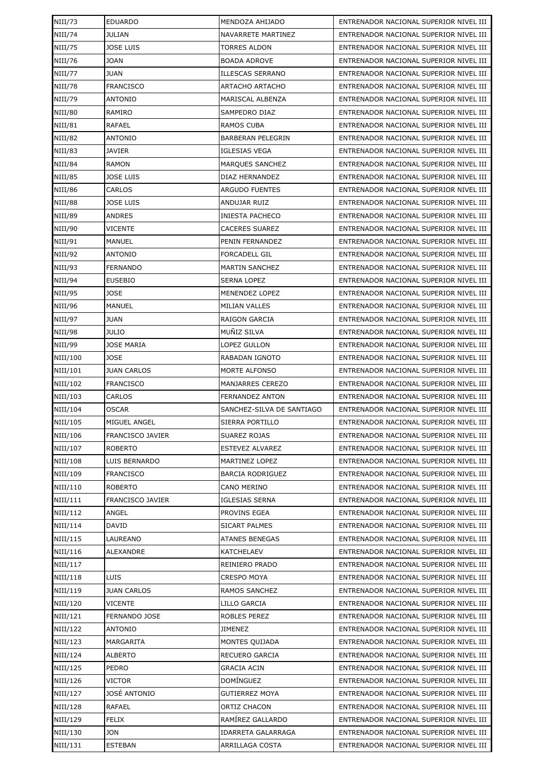| NIII/73        | <b>EDUARDO</b>          | MENDOZA AHIJADO           | ENTRENADOR NACIONAL SUPERIOR NIVEL III |
|----------------|-------------------------|---------------------------|----------------------------------------|
| NIII/74        | <b>JULIAN</b>           | NAVARRETE MARTINEZ        | ENTRENADOR NACIONAL SUPERIOR NIVEL III |
| <b>NIII/75</b> | <b>JOSE LUIS</b>        | <b>TORRES ALDON</b>       | ENTRENADOR NACIONAL SUPERIOR NIVEL III |
| NIII/76        | JOAN                    | <b>BOADA ADROVE</b>       | ENTRENADOR NACIONAL SUPERIOR NIVEL III |
| NIII/77        | <b>JUAN</b>             | <b>ILLESCAS SERRANO</b>   | ENTRENADOR NACIONAL SUPERIOR NIVEL III |
| <b>NIII/78</b> | <b>FRANCISCO</b>        | ARTACHO ARTACHO           | ENTRENADOR NACIONAL SUPERIOR NIVEL III |
| NIII/79        | <b>ANTONIO</b>          | MARISCAL ALBENZA          | ENTRENADOR NACIONAL SUPERIOR NIVEL III |
| NIII/80        | RAMIRO                  | <b>SAMPEDRO DIAZ</b>      | ENTRENADOR NACIONAL SUPERIOR NIVEL III |
| NIII/81        | RAFAEL                  | RAMOS CUBA                | ENTRENADOR NACIONAL SUPERIOR NIVEL III |
| NIII/82        | <b>ANTONIO</b>          | <b>BARBERAN PELEGRIN</b>  | ENTRENADOR NACIONAL SUPERIOR NIVEL III |
| NIII/83        | <b>JAVIER</b>           | <b>IGLESIAS VEGA</b>      | ENTRENADOR NACIONAL SUPERIOR NIVEL III |
| <b>NIII/84</b> | <b>RAMON</b>            | MARQUES SANCHEZ           | ENTRENADOR NACIONAL SUPERIOR NIVEL III |
| NIII/85        | <b>JOSE LUIS</b>        | DIAZ HERNANDEZ            | ENTRENADOR NACIONAL SUPERIOR NIVEL III |
| NIII/86        | CARLOS                  | <b>ARGUDO FUENTES</b>     | ENTRENADOR NACIONAL SUPERIOR NIVEL III |
| <b>NIII/88</b> | <b>JOSE LUIS</b>        | ANDUJAR RUIZ              | ENTRENADOR NACIONAL SUPERIOR NIVEL III |
| NIII/89        | ANDRES                  | <b>INIESTA PACHECO</b>    | ENTRENADOR NACIONAL SUPERIOR NIVEL III |
| NIII/90        | <b>VICENTE</b>          | <b>CACERES SUAREZ</b>     | ENTRENADOR NACIONAL SUPERIOR NIVEL III |
| NIII/91        | MANUEL                  | PENIN FERNANDEZ           | ENTRENADOR NACIONAL SUPERIOR NIVEL III |
| NIII/92        | <b>ANTONIO</b>          | <b>FORCADELL GIL</b>      | ENTRENADOR NACIONAL SUPERIOR NIVEL III |
| NIII/93        | <b>FERNANDO</b>         | <b>MARTIN SANCHEZ</b>     | ENTRENADOR NACIONAL SUPERIOR NIVEL III |
| NIII/94        | <b>EUSEBIO</b>          | <b>SERNA LOPEZ</b>        | ENTRENADOR NACIONAL SUPERIOR NIVEL III |
| NIII/95        | JOSE                    | MENENDEZ LOPEZ            | ENTRENADOR NACIONAL SUPERIOR NIVEL III |
| NIII/96        | MANUEL                  | <b>MILIAN VALLES</b>      | ENTRENADOR NACIONAL SUPERIOR NIVEL III |
| NIII/97        | <b>JUAN</b>             | RAIGON GARCIA             | ENTRENADOR NACIONAL SUPERIOR NIVEL III |
| <b>NIII/98</b> | JULIO                   | MUÑIZ SILVA               | ENTRENADOR NACIONAL SUPERIOR NIVEL III |
| NIII/99        | <b>JOSE MARIA</b>       | LOPEZ GULLON              | ENTRENADOR NACIONAL SUPERIOR NIVEL III |
| NIII/100       | <b>JOSE</b>             | RABADAN IGNOTO            | ENTRENADOR NACIONAL SUPERIOR NIVEL III |
| NIII/101       | <b>JUAN CARLOS</b>      | <b>MORTE ALFONSO</b>      | ENTRENADOR NACIONAL SUPERIOR NIVEL III |
| NIII/102       | <b>FRANCISCO</b>        | <b>MANJARRES CEREZO</b>   | ENTRENADOR NACIONAL SUPERIOR NIVEL III |
| NIII/103       | CARLOS                  | <b>FERNANDEZ ANTON</b>    | ENTRENADOR NACIONAL SUPERIOR NIVEL III |
| NIII/104       | <b>OSCAR</b>            | SANCHEZ-SILVA DE SANTIAGO | ENTRENADOR NACIONAL SUPERIOR NIVEL III |
| NIII/105       | MIGUEL ANGEL            | SIERRA PORTILLO           | ENTRENADOR NACIONAL SUPERIOR NIVEL III |
| NIII/106       | FRANCISCO JAVIER        | SUAREZ ROJAS              | ENTRENADOR NACIONAL SUPERIOR NIVEL III |
| NIII/107       | ROBERTO                 | ESTEVEZ ALVAREZ           | ENTRENADOR NACIONAL SUPERIOR NIVEL III |
| NIII/108       | LUIS BERNARDO           | MARTINEZ LOPEZ            | ENTRENADOR NACIONAL SUPERIOR NIVEL III |
| NIII/109       | <b>FRANCISCO</b>        | <b>BARCIA RODRIGUEZ</b>   | ENTRENADOR NACIONAL SUPERIOR NIVEL III |
| NIII/110       | <b>ROBERTO</b>          | CANO MERINO               | ENTRENADOR NACIONAL SUPERIOR NIVEL III |
| NIII/111       | <b>FRANCISCO JAVIER</b> | <b>IGLESIAS SERNA</b>     | ENTRENADOR NACIONAL SUPERIOR NIVEL III |
| NIII/112       | ANGEL                   | PROVINS EGEA              | ENTRENADOR NACIONAL SUPERIOR NIVEL III |
| NIII/114       | DAVID                   | SICART PALMES             | ENTRENADOR NACIONAL SUPERIOR NIVEL III |
| NIII/115       | LAUREANO                | <b>ATANES BENEGAS</b>     | ENTRENADOR NACIONAL SUPERIOR NIVEL III |
| NIII/116       | ALEXANDRE               | <b>KATCHELAEV</b>         | ENTRENADOR NACIONAL SUPERIOR NIVEL III |
| NIII/117       |                         | REINIERO PRADO            | ENTRENADOR NACIONAL SUPERIOR NIVEL III |
| NIII/118       | <b>LUIS</b>             | <b>CRESPO MOYA</b>        | ENTRENADOR NACIONAL SUPERIOR NIVEL III |
| NIII/119       | <b>JUAN CARLOS</b>      | RAMOS SANCHEZ             | ENTRENADOR NACIONAL SUPERIOR NIVEL III |
| NIII/120       | <b>VICENTE</b>          | LILLO GARCIA              | ENTRENADOR NACIONAL SUPERIOR NIVEL III |
| NIII/121       | FERNANDO JOSE           | ROBLES PEREZ              | ENTRENADOR NACIONAL SUPERIOR NIVEL III |
| NIII/122       | ANTONIO                 | JIMENEZ                   | ENTRENADOR NACIONAL SUPERIOR NIVEL III |
| NIII/123       | MARGARITA               | MONTES QUIJADA            | ENTRENADOR NACIONAL SUPERIOR NIVEL III |
| NIII/124       | <b>ALBERTO</b>          | RECUERO GARCIA            | ENTRENADOR NACIONAL SUPERIOR NIVEL III |
| NIII/125       | PEDRO                   | GRACIA ACIN               | ENTRENADOR NACIONAL SUPERIOR NIVEL III |
| NIII/126       | <b>VICTOR</b>           | DOMÍNGUEZ                 | ENTRENADOR NACIONAL SUPERIOR NIVEL III |
| NIII/127       | JOSÉ ANTONIO            | <b>GUTIERREZ MOYA</b>     | ENTRENADOR NACIONAL SUPERIOR NIVEL III |
| NIII/128       | RAFAEL                  | ORTIZ CHACON              | ENTRENADOR NACIONAL SUPERIOR NIVEL III |
| NIII/129       | <b>FELIX</b>            | RAMÍREZ GALLARDO          | ENTRENADOR NACIONAL SUPERIOR NIVEL III |
| NIII/130       | JON                     | <b>IDARRETA GALARRAGA</b> | ENTRENADOR NACIONAL SUPERIOR NIVEL III |
| NIII/131       | <b>ESTEBAN</b>          | ARRILLAGA COSTA           | ENTRENADOR NACIONAL SUPERIOR NIVEL III |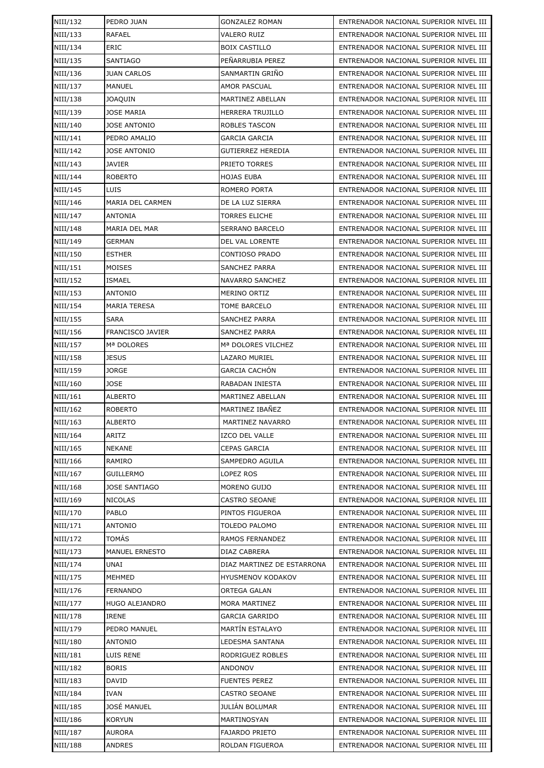| NIII/132 | PEDRO JUAN            | <b>GONZALEZ ROMAN</b>      | ENTRENADOR NACIONAL SUPERIOR NIVEL III |
|----------|-----------------------|----------------------------|----------------------------------------|
| NIII/133 | <b>RAFAEL</b>         | <b>VALERO RUIZ</b>         | ENTRENADOR NACIONAL SUPERIOR NIVEL III |
| NIII/134 | ERIC                  | <b>BOIX CASTILLO</b>       | ENTRENADOR NACIONAL SUPERIOR NIVEL III |
| NIII/135 | <b>SANTIAGO</b>       | PEÑARRUBIA PEREZ           | ENTRENADOR NACIONAL SUPERIOR NIVEL III |
| NIII/136 | <b>JUAN CARLOS</b>    | SANMARTIN GRIÑO            | ENTRENADOR NACIONAL SUPERIOR NIVEL III |
| NIII/137 | MANUEL                | AMOR PASCUAL               | ENTRENADOR NACIONAL SUPERIOR NIVEL III |
| NIII/138 | <b>JOAQUIN</b>        | MARTINEZ ABELLAN           | ENTRENADOR NACIONAL SUPERIOR NIVEL III |
| NIII/139 | <b>JOSE MARIA</b>     | HERRERA TRUJILLO           | ENTRENADOR NACIONAL SUPERIOR NIVEL III |
| NIII/140 | <b>JOSE ANTONIO</b>   | <b>ROBLES TASCON</b>       | ENTRENADOR NACIONAL SUPERIOR NIVEL III |
| NIII/141 | PEDRO AMALIO          | <b>GARCIA GARCIA</b>       | ENTRENADOR NACIONAL SUPERIOR NIVEL III |
| NIII/142 | <b>JOSE ANTONIO</b>   | <b>GUTIERREZ HEREDIA</b>   | ENTRENADOR NACIONAL SUPERIOR NIVEL III |
| NIII/143 | <b>JAVIER</b>         | PRIETO TORRES              | ENTRENADOR NACIONAL SUPERIOR NIVEL III |
| NIII/144 | <b>ROBERTO</b>        | HOJAS EUBA                 | ENTRENADOR NACIONAL SUPERIOR NIVEL III |
| NIII/145 | LUIS                  | ROMERO PORTA               | ENTRENADOR NACIONAL SUPERIOR NIVEL III |
| NIII/146 | MARIA DEL CARMEN      | DE LA LUZ SIERRA           | ENTRENADOR NACIONAL SUPERIOR NIVEL III |
| NIII/147 | ANTONIA               | <b>TORRES ELICHE</b>       | ENTRENADOR NACIONAL SUPERIOR NIVEL III |
| NIII/148 | <b>MARIA DEL MAR</b>  | <b>SERRANO BARCELO</b>     | ENTRENADOR NACIONAL SUPERIOR NIVEL III |
| NIII/149 | GERMAN                | <b>DEL VAL LORENTE</b>     | ENTRENADOR NACIONAL SUPERIOR NIVEL III |
| NIII/150 | <b>ESTHER</b>         | <b>CONTIOSO PRADO</b>      | ENTRENADOR NACIONAL SUPERIOR NIVEL III |
| NIII/151 | MOISES                | <b>SANCHEZ PARRA</b>       | ENTRENADOR NACIONAL SUPERIOR NIVEL III |
| NIII/152 | ISMAEL                | <b>NAVARRO SANCHEZ</b>     | ENTRENADOR NACIONAL SUPERIOR NIVEL III |
| NIII/153 | <b>ANTONIO</b>        | MERINO ORTIZ               | ENTRENADOR NACIONAL SUPERIOR NIVEL III |
| NIII/154 | <b>MARIA TERESA</b>   | TOME BARCELO               | ENTRENADOR NACIONAL SUPERIOR NIVEL III |
| NIII/155 | <b>SARA</b>           | <b>SANCHEZ PARRA</b>       | ENTRENADOR NACIONAL SUPERIOR NIVEL III |
| NIII/156 | FRANCISCO JAVIER      | <b>SANCHEZ PARRA</b>       | ENTRENADOR NACIONAL SUPERIOR NIVEL III |
| NIII/157 | Mª DOLORES            | Mª DOLORES VILCHEZ         | ENTRENADOR NACIONAL SUPERIOR NIVEL III |
| NIII/158 | <b>JESUS</b>          | LAZARO MURIEL              | ENTRENADOR NACIONAL SUPERIOR NIVEL III |
| NIII/159 | <b>JORGE</b>          | <b>GARCIA CACHÓN</b>       | ENTRENADOR NACIONAL SUPERIOR NIVEL III |
| NIII/160 | JOSE                  | RABADAN INIESTA            | ENTRENADOR NACIONAL SUPERIOR NIVEL III |
| NIII/161 | <b>ALBERTO</b>        | MARTINEZ ABELLAN           | ENTRENADOR NACIONAL SUPERIOR NIVEL III |
| NIII/162 | <b>ROBERTO</b>        | MARTINEZ IBAÑEZ            | ENTRENADOR NACIONAL SUPERIOR NIVEL III |
| NIII/163 | <b>ALBERTO</b>        | MARTINEZ NAVARRO           | ENTRENADOR NACIONAL SUPERIOR NIVEL III |
| NIII/164 | ARITZ                 | <b>IZCO DEL VALLE</b>      | ENTRENADOR NACIONAL SUPERIOR NIVEL III |
| NIII/165 | <b>NEKANE</b>         | <b>CEPAS GARCIA</b>        | ENTRENADOR NACIONAL SUPERIOR NIVEL III |
| NIII/166 | RAMIRO                | <b>SAMPEDRO AGUILA</b>     | ENTRENADOR NACIONAL SUPERIOR NIVEL III |
| NIII/167 | <b>GUILLERMO</b>      | LOPEZ ROS                  | ENTRENADOR NACIONAL SUPERIOR NIVEL III |
| NIII/168 | <b>JOSE SANTIAGO</b>  | MORENO GUIJO               | ENTRENADOR NACIONAL SUPERIOR NIVEL III |
| NIII/169 | <b>NICOLAS</b>        | CASTRO SEOANE              | ENTRENADOR NACIONAL SUPERIOR NIVEL III |
| NIII/170 | PABLO                 | PINTOS FIGUEROA            | ENTRENADOR NACIONAL SUPERIOR NIVEL III |
| NIII/171 | ANTONIO               | <b>TOLEDO PALOMO</b>       | ENTRENADOR NACIONAL SUPERIOR NIVEL III |
| NIII/172 | <b>TOMÁS</b>          | RAMOS FERNANDEZ            | ENTRENADOR NACIONAL SUPERIOR NIVEL III |
| NIII/173 | <b>MANUEL ERNESTO</b> | DIAZ CABRERA               | ENTRENADOR NACIONAL SUPERIOR NIVEL III |
| NIII/174 | UNAI                  | DIAZ MARTINEZ DE ESTARRONA | ENTRENADOR NACIONAL SUPERIOR NIVEL III |
| NIII/175 | MEHMED                | HYUSMENOV KODAKOV          | ENTRENADOR NACIONAL SUPERIOR NIVEL III |
| NIII/176 | <b>FERNANDO</b>       | ORTEGA GALAN               | ENTRENADOR NACIONAL SUPERIOR NIVEL III |
| NIII/177 | HUGO ALEJANDRO        | MORA MARTINEZ              | ENTRENADOR NACIONAL SUPERIOR NIVEL III |
| NIII/178 | <b>IRENE</b>          | <b>GARCIA GARRIDO</b>      | ENTRENADOR NACIONAL SUPERIOR NIVEL III |
| NIII/179 | PEDRO MANUEL          | <b>MARTIN ESTALAYO</b>     | ENTRENADOR NACIONAL SUPERIOR NIVEL III |
| NIII/180 | ANTONIO               | LEDESMA SANTANA            | ENTRENADOR NACIONAL SUPERIOR NIVEL III |
| NIII/181 | LUIS RENE             | RODRIGUEZ ROBLES           | ENTRENADOR NACIONAL SUPERIOR NIVEL III |
| NIII/182 | <b>BORIS</b>          | ANDONOV                    | ENTRENADOR NACIONAL SUPERIOR NIVEL III |
| NIII/183 | DAVID                 | <b>FUENTES PEREZ</b>       | ENTRENADOR NACIONAL SUPERIOR NIVEL III |
| NIII/184 | IVAN                  | <b>CASTRO SEOANE</b>       | ENTRENADOR NACIONAL SUPERIOR NIVEL III |
| NIII/185 | JOSÉ MANUEL           | JULIÁN BOLUMAR             | ENTRENADOR NACIONAL SUPERIOR NIVEL III |
| NIII/186 | <b>KORYUN</b>         | MARTINOSYAN                | ENTRENADOR NACIONAL SUPERIOR NIVEL III |
| NIII/187 | <b>AURORA</b>         | <b>FAJARDO PRIETO</b>      | ENTRENADOR NACIONAL SUPERIOR NIVEL III |
| NIII/188 | ANDRES                | ROLDAN FIGUEROA            | ENTRENADOR NACIONAL SUPERIOR NIVEL III |